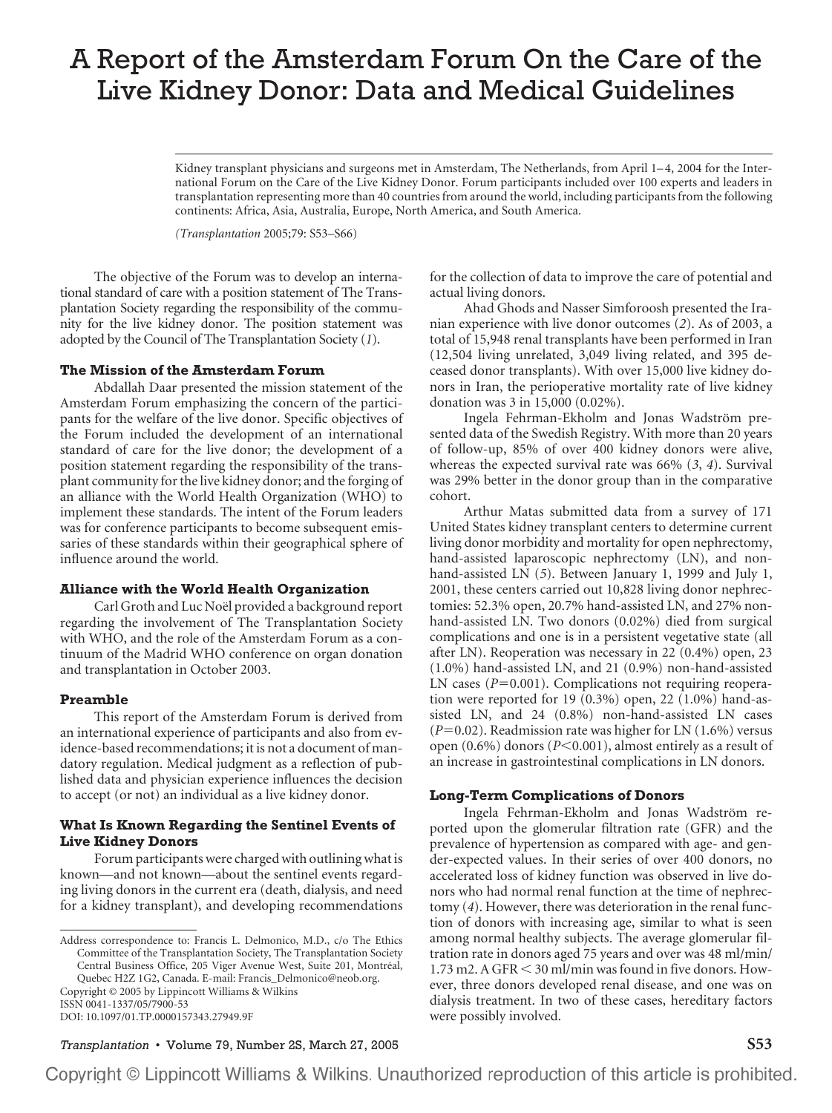# A Report of the Amsterdam Forum On the Care of the Live Kidney Donor: Data and Medical Guidelines

Kidney transplant physicians and surgeons met in Amsterdam, The Netherlands, from April 1–4, 2004 for the International Forum on the Care of the Live Kidney Donor. Forum participants included over 100 experts and leaders in transplantation representing more than 40 countries from around the world, including participants from the following continents: Africa, Asia, Australia, Europe, North America, and South America.

*(Transplantation* 2005;79: S53–S66)

The objective of the Forum was to develop an international standard of care with a position statement of The Transplantation Society regarding the responsibility of the community for the live kidney donor. The position statement was adopted by the Council of The Transplantation Society (*1*).

## **The Mission of the Amsterdam Forum**

Abdallah Daar presented the mission statement of the Amsterdam Forum emphasizing the concern of the participants for the welfare of the live donor. Specific objectives of the Forum included the development of an international standard of care for the live donor; the development of a position statement regarding the responsibility of the transplant community for the live kidney donor; and the forging of an alliance with the World Health Organization (WHO) to implement these standards. The intent of the Forum leaders was for conference participants to become subsequent emissaries of these standards within their geographical sphere of influence around the world.

## **Alliance with the World Health Organization**

Carl Groth and Luc Noël provided a background report regarding the involvement of The Transplantation Society with WHO, and the role of the Amsterdam Forum as a continuum of the Madrid WHO conference on organ donation and transplantation in October 2003.

#### **Preamble**

This report of the Amsterdam Forum is derived from an international experience of participants and also from evidence-based recommendations; it is not a document of mandatory regulation. Medical judgment as a reflection of published data and physician experience influences the decision to accept (or not) an individual as a live kidney donor.

# **What Is Known Regarding the Sentinel Events of Live Kidney Donors**

Forum participants were charged with outlining what is known—and not known—about the sentinel events regarding living donors in the current era (death, dialysis, and need for a kidney transplant), and developing recommendations

ISSN 0041-1337/05/7900-53 DOI: 10.1097/01.TP.0000157343.27949.9F for the collection of data to improve the care of potential and actual living donors.

Ahad Ghods and Nasser Simforoosh presented the Iranian experience with live donor outcomes (*2*). As of 2003, a total of 15,948 renal transplants have been performed in Iran (12,504 living unrelated, 3,049 living related, and 395 deceased donor transplants). With over 15,000 live kidney donors in Iran, the perioperative mortality rate of live kidney donation was 3 in 15,000 (0.02%).

Ingela Fehrman-Ekholm and Jonas Wadström presented data of the Swedish Registry. With more than 20 years of follow-up, 85% of over 400 kidney donors were alive, whereas the expected survival rate was 66% (*3*, *4*). Survival was 29% better in the donor group than in the comparative cohort.

Arthur Matas submitted data from a survey of 171 United States kidney transplant centers to determine current living donor morbidity and mortality for open nephrectomy, hand-assisted laparoscopic nephrectomy (LN), and nonhand-assisted LN (*5*). Between January 1, 1999 and July 1, 2001, these centers carried out 10,828 living donor nephrectomies: 52.3% open, 20.7% hand-assisted LN, and 27% nonhand-assisted LN. Two donors (0.02%) died from surgical complications and one is in a persistent vegetative state (all after LN). Reoperation was necessary in 22 (0.4%) open, 23 (1.0%) hand-assisted LN, and 21 (0.9%) non-hand-assisted LN cases  $(P=0.001)$ . Complications not requiring reoperation were reported for 19 (0.3%) open, 22 (1.0%) hand-assisted LN, and 24 (0.8%) non-hand-assisted LN cases  $(P=0.02)$ . Readmission rate was higher for LN  $(1.6\%)$  versus open (0.6%) donors (P<0.001), almost entirely as a result of an increase in gastrointestinal complications in LN donors.

## **Long-Term Complications of Donors**

Ingela Fehrman-Ekholm and Jonas Wadström reported upon the glomerular filtration rate (GFR) and the prevalence of hypertension as compared with age- and gender-expected values. In their series of over 400 donors, no accelerated loss of kidney function was observed in live donors who had normal renal function at the time of nephrectomy (*4*). However, there was deterioration in the renal function of donors with increasing age, similar to what is seen among normal healthy subjects. The average glomerular filtration rate in donors aged 75 years and over was 48 ml/min/  $1.73$  m2. A GFR  $\leq$  30 ml/min was found in five donors. However, three donors developed renal disease, and one was on dialysis treatment. In two of these cases, hereditary factors were possibly involved.

*Transplantation* • Volume 79, Number 2S, March 27, 2005 **S53**

Address correspondence to: Francis L. Delmonico, M.D., c/o The Ethics Committee of the Transplantation Society, The Transplantation Society Central Business Office, 205 Viger Avenue West, Suite 201, Montréal, Quebec H2Z 1G2, Canada. E-mail: Francis\_Delmonico@neob.org. Copyright © 2005 by Lippincott Williams & Wilkins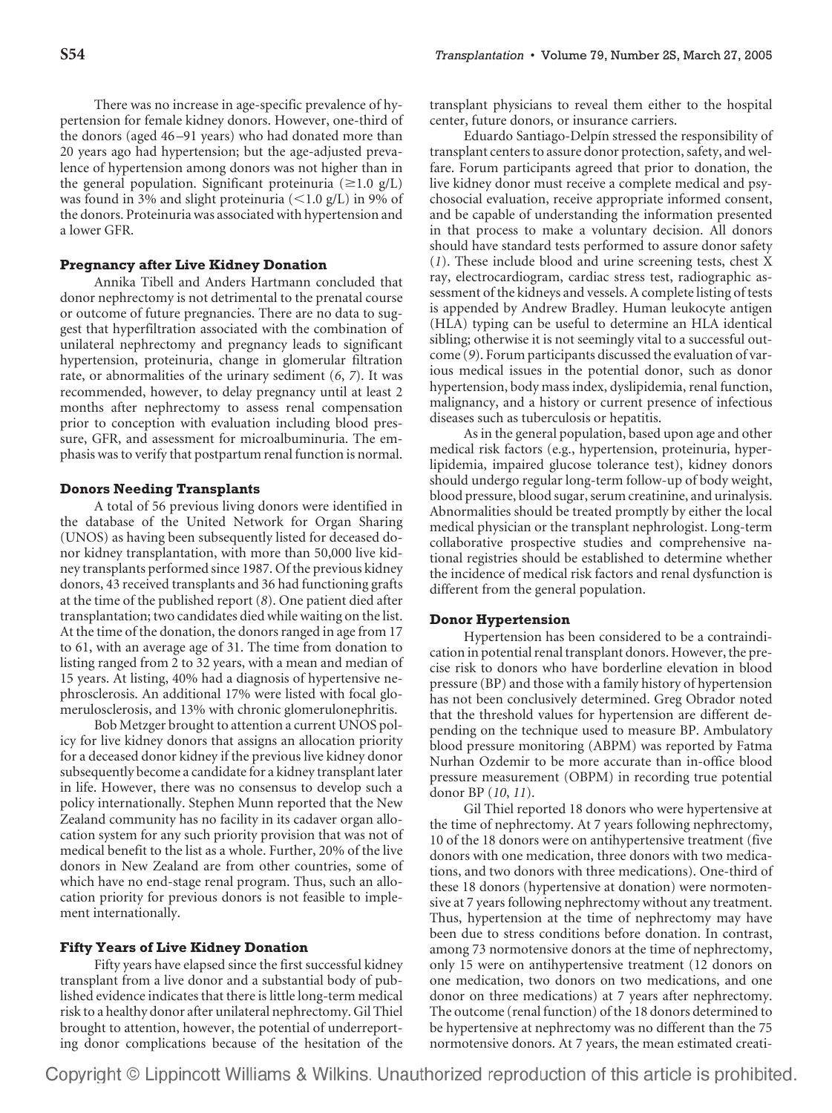There was no increase in age-specific prevalence of hypertension for female kidney donors. However, one-third of the donors (aged 46 –91 years) who had donated more than 20 years ago had hypertension; but the age-adjusted prevalence of hypertension among donors was not higher than in the general population. Significant proteinuria ( $\geq 1.0$  g/L) was found in 3% and slight proteinuria ( $<$ 1.0 g/L) in 9% of the donors. Proteinuria was associated with hypertension and a lower GFR.

## **Pregnancy after Live Kidney Donation**

Annika Tibell and Anders Hartmann concluded that donor nephrectomy is not detrimental to the prenatal course or outcome of future pregnancies. There are no data to suggest that hyperfiltration associated with the combination of unilateral nephrectomy and pregnancy leads to significant hypertension, proteinuria, change in glomerular filtration rate, or abnormalities of the urinary sediment (*6*, *7*). It was recommended, however, to delay pregnancy until at least 2 months after nephrectomy to assess renal compensation prior to conception with evaluation including blood pressure, GFR, and assessment for microalbuminuria. The emphasis was to verify that postpartum renal function is normal.

#### **Donors Needing Transplants**

A total of 56 previous living donors were identified in the database of the United Network for Organ Sharing (UNOS) as having been subsequently listed for deceased donor kidney transplantation, with more than 50,000 live kidney transplants performed since 1987. Of the previous kidney donors, 43 received transplants and 36 had functioning grafts at the time of the published report (*8*). One patient died after transplantation; two candidates died while waiting on the list. At the time of the donation, the donors ranged in age from 17 to 61, with an average age of 31. The time from donation to listing ranged from 2 to 32 years, with a mean and median of 15 years. At listing, 40% had a diagnosis of hypertensive nephrosclerosis. An additional 17% were listed with focal glomerulosclerosis, and 13% with chronic glomerulonephritis.

Bob Metzger brought to attention a current UNOS policy for live kidney donors that assigns an allocation priority for a deceased donor kidney if the previous live kidney donor subsequently become a candidate for a kidney transplant later in life. However, there was no consensus to develop such a policy internationally. Stephen Munn reported that the New Zealand community has no facility in its cadaver organ allocation system for any such priority provision that was not of medical benefit to the list as a whole. Further, 20% of the live donors in New Zealand are from other countries, some of which have no end-stage renal program. Thus, such an allocation priority for previous donors is not feasible to implement internationally.

# **Fifty Years of Live Kidney Donation**

Fifty years have elapsed since the first successful kidney transplant from a live donor and a substantial body of published evidence indicates that there is little long-term medical risk to a healthy donor after unilateral nephrectomy. Gil Thiel brought to attention, however, the potential of underreporting donor complications because of the hesitation of the transplant physicians to reveal them either to the hospital center, future donors, or insurance carriers.

Eduardo Santiago-Delpín stressed the responsibility of transplant centers to assure donor protection, safety, and welfare. Forum participants agreed that prior to donation, the live kidney donor must receive a complete medical and psychosocial evaluation, receive appropriate informed consent, and be capable of understanding the information presented in that process to make a voluntary decision. All donors should have standard tests performed to assure donor safety (*1*). These include blood and urine screening tests, chest X ray, electrocardiogram, cardiac stress test, radiographic assessment of the kidneys and vessels. A complete listing of tests is appended by Andrew Bradley. Human leukocyte antigen (HLA) typing can be useful to determine an HLA identical sibling; otherwise it is not seemingly vital to a successful outcome (*9*). Forum participants discussed the evaluation of various medical issues in the potential donor, such as donor hypertension, body mass index, dyslipidemia, renal function, malignancy, and a history or current presence of infectious diseases such as tuberculosis or hepatitis.

As in the general population, based upon age and other medical risk factors (e.g., hypertension, proteinuria, hyperlipidemia, impaired glucose tolerance test), kidney donors should undergo regular long-term follow-up of body weight, blood pressure, blood sugar, serum creatinine, and urinalysis. Abnormalities should be treated promptly by either the local medical physician or the transplant nephrologist. Long-term collaborative prospective studies and comprehensive national registries should be established to determine whether the incidence of medical risk factors and renal dysfunction is different from the general population.

## **Donor Hypertension**

Hypertension has been considered to be a contraindication in potential renal transplant donors. However, the precise risk to donors who have borderline elevation in blood pressure (BP) and those with a family history of hypertension has not been conclusively determined. Greg Obrador noted that the threshold values for hypertension are different depending on the technique used to measure BP. Ambulatory blood pressure monitoring (ABPM) was reported by Fatma Nurhan Ozdemir to be more accurate than in-office blood pressure measurement (OBPM) in recording true potential donor BP (*10*, *11*).

Gil Thiel reported 18 donors who were hypertensive at the time of nephrectomy. At 7 years following nephrectomy, 10 of the 18 donors were on antihypertensive treatment (five donors with one medication, three donors with two medications, and two donors with three medications). One-third of these 18 donors (hypertensive at donation) were normotensive at 7 years following nephrectomy without any treatment. Thus, hypertension at the time of nephrectomy may have been due to stress conditions before donation. In contrast, among 73 normotensive donors at the time of nephrectomy, only 15 were on antihypertensive treatment (12 donors on one medication, two donors on two medications, and one donor on three medications) at 7 years after nephrectomy. The outcome (renal function) of the 18 donors determined to be hypertensive at nephrectomy was no different than the 75 normotensive donors. At 7 years, the mean estimated creati-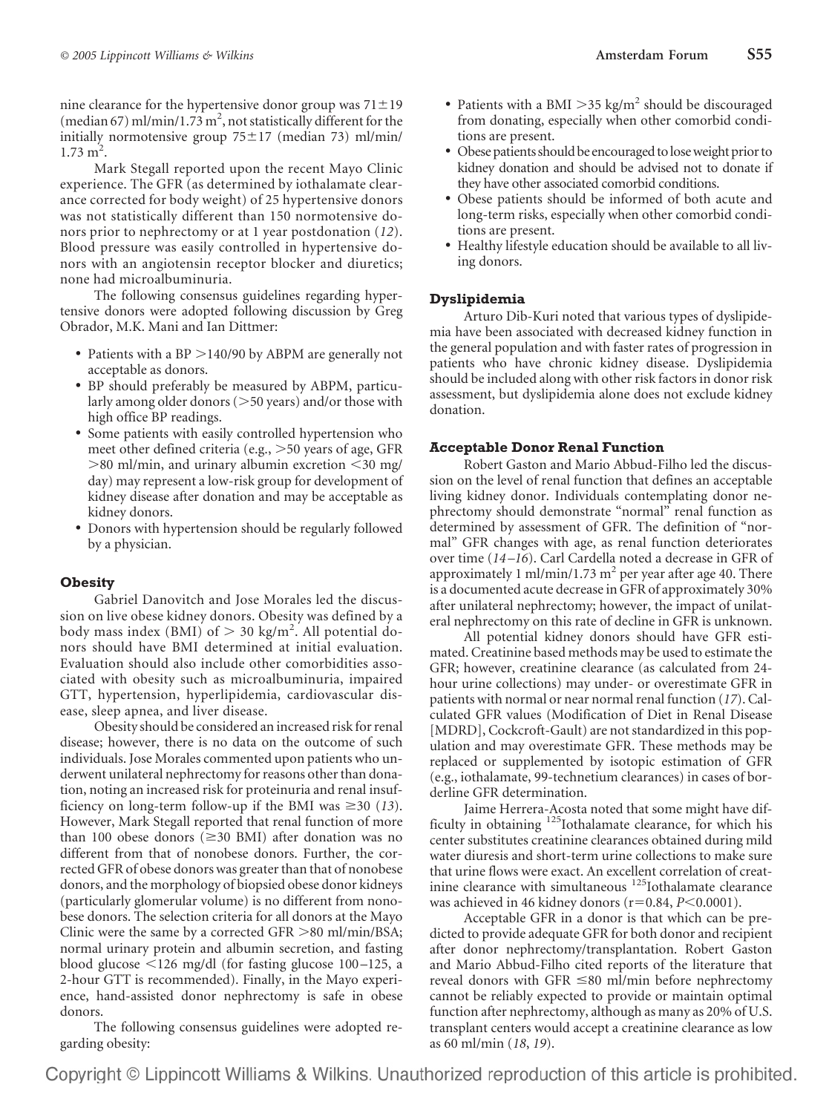nine clearance for the hypertensive donor group was  $71 \pm 19$ (median 67) ml/min/1.73 m<sup>2</sup>, not statistically different for the initially normotensive group  $75 \pm 17$  (median 73) ml/min/  $1.73 \text{ m}^2$ .

Mark Stegall reported upon the recent Mayo Clinic experience. The GFR (as determined by iothalamate clearance corrected for body weight) of 25 hypertensive donors was not statistically different than 150 normotensive donors prior to nephrectomy or at 1 year postdonation (*12*). Blood pressure was easily controlled in hypertensive donors with an angiotensin receptor blocker and diuretics; none had microalbuminuria.

The following consensus guidelines regarding hypertensive donors were adopted following discussion by Greg Obrador, M.K. Mani and Ian Dittmer:

- Patients with a  $BP > 140/90$  by ABPM are generally not acceptable as donors.
- BP should preferably be measured by ABPM, particularly among older donors  $(>50$  years) and/or those with high office BP readings.
- Some patients with easily controlled hypertension who meet other defined criteria (e.g., 50 years of age, GFR  $>$ 80 ml/min, and urinary albumin excretion  $<$ 30 mg/ day) may represent a low-risk group for development of kidney disease after donation and may be acceptable as kidney donors.
- Donors with hypertension should be regularly followed by a physician.

# **Obesity**

Gabriel Danovitch and Jose Morales led the discussion on live obese kidney donors. Obesity was defined by a body mass index (BMI) of  $> 30$  kg/m<sup>2</sup>. All potential donors should have BMI determined at initial evaluation. Evaluation should also include other comorbidities associated with obesity such as microalbuminuria, impaired GTT, hypertension, hyperlipidemia, cardiovascular disease, sleep apnea, and liver disease.

Obesity should be considered an increased risk for renal disease; however, there is no data on the outcome of such individuals. Jose Morales commented upon patients who underwent unilateral nephrectomy for reasons other than donation, noting an increased risk for proteinuria and renal insufficiency on long-term follow-up if the BMI was  $\geq 30$  (13). However, Mark Stegall reported that renal function of more than 100 obese donors ( $\geq$ 30 BMI) after donation was no different from that of nonobese donors. Further, the corrected GFR of obese donors was greater than that of nonobese donors, and the morphology of biopsied obese donor kidneys (particularly glomerular volume) is no different from nonobese donors. The selection criteria for all donors at the Mayo Clinic were the same by a corrected GFR  $>80$  ml/min/BSA; normal urinary protein and albumin secretion, and fasting blood glucose -126 mg/dl (for fasting glucose 100 –125, a 2-hour GTT is recommended). Finally, in the Mayo experience, hand-assisted donor nephrectomy is safe in obese donors.

The following consensus guidelines were adopted regarding obesity:

- Patients with a BMI  $>$ 35 kg/m<sup>2</sup> should be discouraged from donating, especially when other comorbid conditions are present.
- Obese patients should be encouraged to lose weight prior to kidney donation and should be advised not to donate if they have other associated comorbid conditions.
- Obese patients should be informed of both acute and long-term risks, especially when other comorbid conditions are present.
- Healthy lifestyle education should be available to all living donors.

# **Dyslipidemia**

Arturo Dib-Kuri noted that various types of dyslipidemia have been associated with decreased kidney function in the general population and with faster rates of progression in patients who have chronic kidney disease. Dyslipidemia should be included along with other risk factors in donor risk assessment, but dyslipidemia alone does not exclude kidney donation.

# **Acceptable Donor Renal Function**

Robert Gaston and Mario Abbud-Filho led the discussion on the level of renal function that defines an acceptable living kidney donor. Individuals contemplating donor nephrectomy should demonstrate "normal" renal function as determined by assessment of GFR. The definition of "normal" GFR changes with age, as renal function deteriorates over time (*14 –16*). Carl Cardella noted a decrease in GFR of approximately 1 ml/min/1.73 m<sup>2</sup> per year after age 40. There is a documented acute decrease in GFR of approximately 30% after unilateral nephrectomy; however, the impact of unilateral nephrectomy on this rate of decline in GFR is unknown.

All potential kidney donors should have GFR estimated. Creatinine based methods may be used to estimate the GFR; however, creatinine clearance (as calculated from 24 hour urine collections) may under- or overestimate GFR in patients with normal or near normal renal function (*17*). Calculated GFR values (Modification of Diet in Renal Disease [MDRD], Cockcroft-Gault) are not standardized in this population and may overestimate GFR. These methods may be replaced or supplemented by isotopic estimation of GFR (e.g., iothalamate, 99-technetium clearances) in cases of borderline GFR determination.

Jaime Herrera-Acosta noted that some might have difficulty in obtaining <sup>125</sup>Iothalamate clearance, for which his center substitutes creatinine clearances obtained during mild water diuresis and short-term urine collections to make sure that urine flows were exact. An excellent correlation of creatinine clearance with simultaneous <sup>125</sup>Iothalamate clearance was achieved in 46 kidney donors  $(r=0.84, P<0.0001)$ .

Acceptable GFR in a donor is that which can be predicted to provide adequate GFR for both donor and recipient after donor nephrectomy/transplantation. Robert Gaston and Mario Abbud-Filho cited reports of the literature that reveal donors with GFR  $\leq$ 80 ml/min before nephrectomy cannot be reliably expected to provide or maintain optimal function after nephrectomy, although as many as 20% of U.S. transplant centers would accept a creatinine clearance as low as 60 ml/min (*18*, *19*).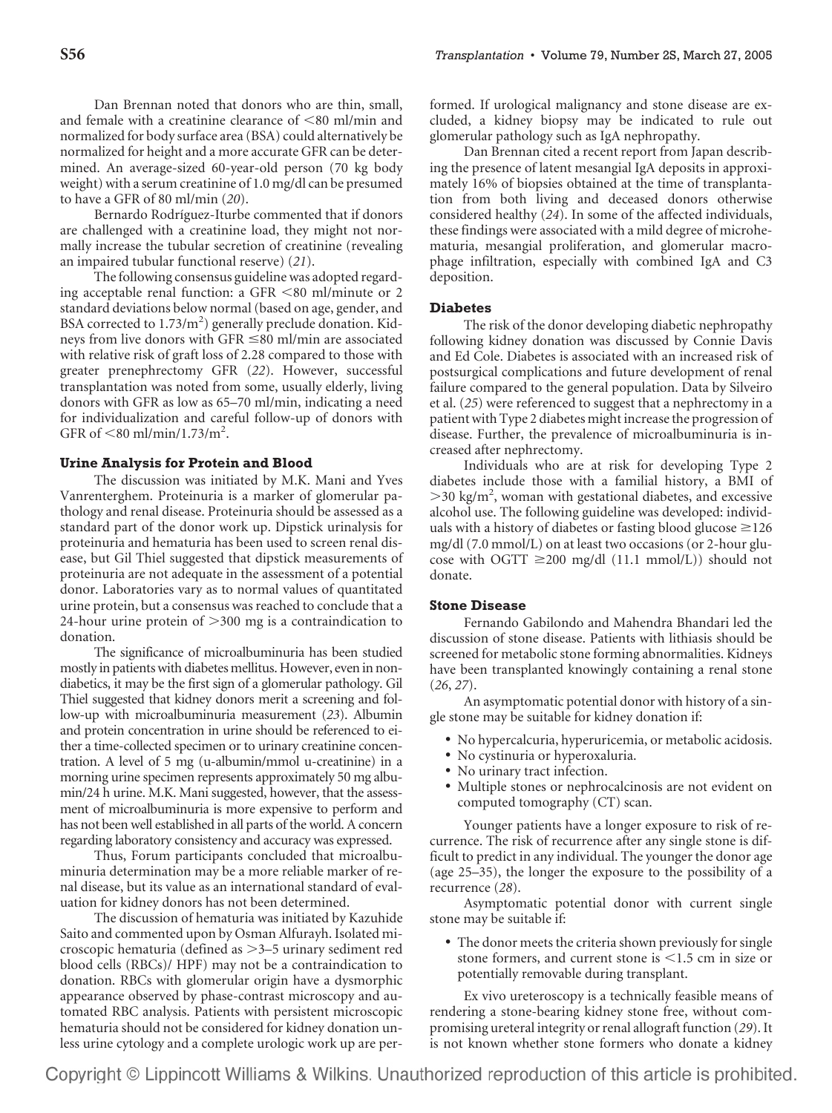Dan Brennan noted that donors who are thin, small, and female with a creatinine clearance of  $\leq 80$  ml/min and normalized for body surface area (BSA) could alternatively be normalized for height and a more accurate GFR can be determined. An average-sized 60-year-old person (70 kg body weight) with a serum creatinine of 1.0 mg/dl can be presumed to have a GFR of 80 ml/min (*20*).

Bernardo Rodríguez-Iturbe commented that if donors are challenged with a creatinine load, they might not normally increase the tubular secretion of creatinine (revealing an impaired tubular functional reserve) (*21*).

The following consensus guideline was adopted regarding acceptable renal function: a GFR -80 ml/minute or 2 standard deviations below normal (based on age, gender, and BSA corrected to 1.73/m<sup>2</sup>) generally preclude donation. Kidneys from live donors with GFR  $\leq$ 80 ml/min are associated with relative risk of graft loss of 2.28 compared to those with greater prenephrectomy GFR (*22*). However, successful transplantation was noted from some, usually elderly, living donors with GFR as low as 65–70 ml/min, indicating a need for individualization and careful follow-up of donors with GFR of  $\leq 80$  ml/min/1.73/m<sup>2</sup>.

## **Urine Analysis for Protein and Blood**

The discussion was initiated by M.K. Mani and Yves Vanrenterghem. Proteinuria is a marker of glomerular pathology and renal disease. Proteinuria should be assessed as a standard part of the donor work up. Dipstick urinalysis for proteinuria and hematuria has been used to screen renal disease, but Gil Thiel suggested that dipstick measurements of proteinuria are not adequate in the assessment of a potential donor. Laboratories vary as to normal values of quantitated urine protein, but a consensus was reached to conclude that a 24-hour urine protein of  $>$  300 mg is a contraindication to donation.

The significance of microalbuminuria has been studied mostly in patients with diabetes mellitus. However, even in nondiabetics, it may be the first sign of a glomerular pathology. Gil Thiel suggested that kidney donors merit a screening and follow-up with microalbuminuria measurement (*23*). Albumin and protein concentration in urine should be referenced to either a time-collected specimen or to urinary creatinine concentration. A level of 5 mg (u-albumin/mmol u-creatinine) in a morning urine specimen represents approximately 50 mg albumin/24 h urine. M.K. Mani suggested, however, that the assessment of microalbuminuria is more expensive to perform and has not been well established in all parts of the world. A concern regarding laboratory consistency and accuracy was expressed.

Thus, Forum participants concluded that microalbuminuria determination may be a more reliable marker of renal disease, but its value as an international standard of evaluation for kidney donors has not been determined.

The discussion of hematuria was initiated by Kazuhide Saito and commented upon by Osman Alfurayh. Isolated microscopic hematuria (defined as 3–5 urinary sediment red blood cells (RBCs)/ HPF) may not be a contraindication to donation. RBCs with glomerular origin have a dysmorphic appearance observed by phase-contrast microscopy and automated RBC analysis. Patients with persistent microscopic hematuria should not be considered for kidney donation unless urine cytology and a complete urologic work up are performed. If urological malignancy and stone disease are excluded, a kidney biopsy may be indicated to rule out glomerular pathology such as IgA nephropathy.

Dan Brennan cited a recent report from Japan describing the presence of latent mesangial IgA deposits in approximately 16% of biopsies obtained at the time of transplantation from both living and deceased donors otherwise considered healthy (*24*). In some of the affected individuals, these findings were associated with a mild degree of microhematuria, mesangial proliferation, and glomerular macrophage infiltration, especially with combined IgA and C3 deposition.

## **Diabetes**

The risk of the donor developing diabetic nephropathy following kidney donation was discussed by Connie Davis and Ed Cole. Diabetes is associated with an increased risk of postsurgical complications and future development of renal failure compared to the general population. Data by Silveiro et al. (*25*) were referenced to suggest that a nephrectomy in a patient with Type 2 diabetes might increase the progression of disease. Further, the prevalence of microalbuminuria is increased after nephrectomy.

Individuals who are at risk for developing Type 2 diabetes include those with a familial history, a BMI of >30 kg/m<sup>2</sup>, woman with gestational diabetes, and excessive alcohol use. The following guideline was developed: individuals with a history of diabetes or fasting blood glucose  $\geq 126$ mg/dl (7.0 mmol/L) on at least two occasions (or 2-hour glucose with OGTT  $\geq 200$  mg/dl (11.1 mmol/L)) should not donate.

# **Stone Disease**

Fernando Gabilondo and Mahendra Bhandari led the discussion of stone disease. Patients with lithiasis should be screened for metabolic stone forming abnormalities. Kidneys have been transplanted knowingly containing a renal stone (*26*, *27*).

An asymptomatic potential donor with history of a single stone may be suitable for kidney donation if:

- No hypercalcuria, hyperuricemia, or metabolic acidosis.
- No cystinuria or hyperoxaluria.
- No urinary tract infection.
- Multiple stones or nephrocalcinosis are not evident on computed tomography (CT) scan.

Younger patients have a longer exposure to risk of recurrence. The risk of recurrence after any single stone is difficult to predict in any individual. The younger the donor age (age 25–35), the longer the exposure to the possibility of a recurrence (*28*).

Asymptomatic potential donor with current single stone may be suitable if:

• The donor meets the criteria shown previously for single stone formers, and current stone is <1.5 cm in size or potentially removable during transplant.

Ex vivo ureteroscopy is a technically feasible means of rendering a stone-bearing kidney stone free, without compromising ureteral integrity or renal allograft function (*29*). It is not known whether stone formers who donate a kidney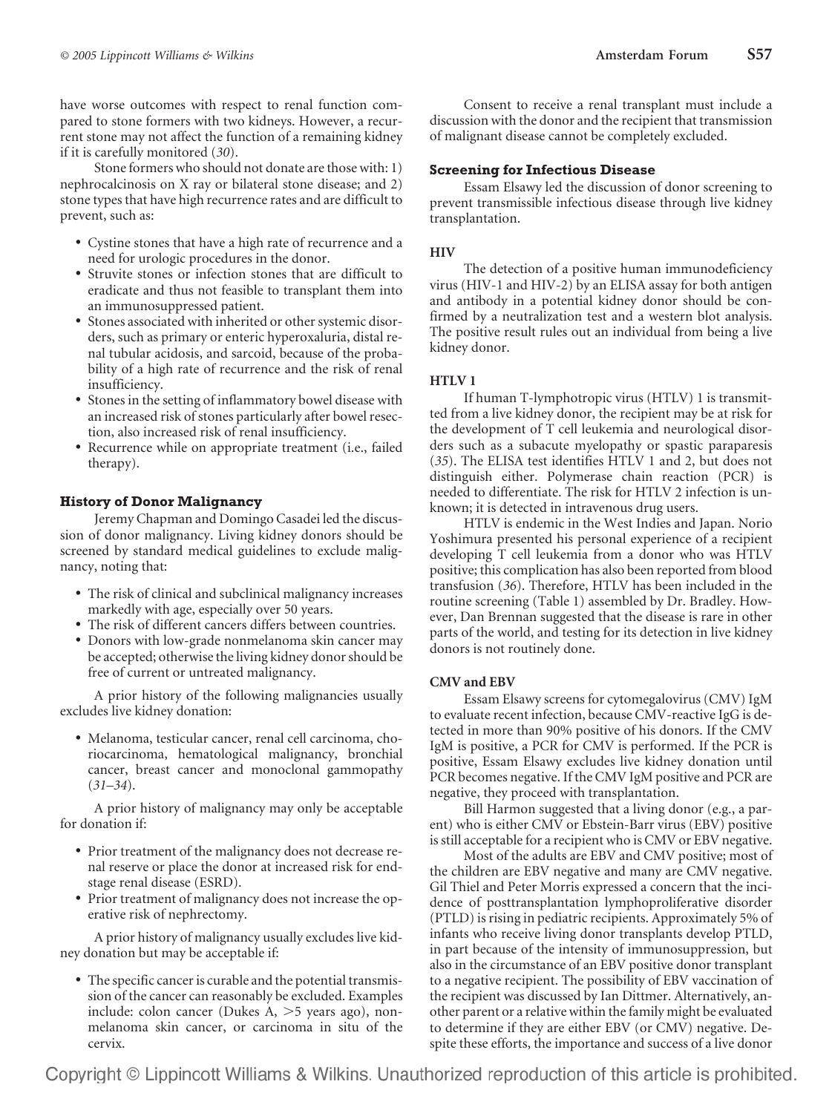have worse outcomes with respect to renal function compared to stone formers with two kidneys. However, a recurrent stone may not affect the function of a remaining kidney if it is carefully monitored (*30*).

Stone formers who should not donate are those with: 1) nephrocalcinosis on X ray or bilateral stone disease; and 2) stone types that have high recurrence rates and are difficult to prevent, such as:

- Cystine stones that have a high rate of recurrence and a need for urologic procedures in the donor.
- Struvite stones or infection stones that are difficult to eradicate and thus not feasible to transplant them into an immunosuppressed patient.
- Stones associated with inherited or other systemic disorders, such as primary or enteric hyperoxaluria, distal renal tubular acidosis, and sarcoid, because of the probability of a high rate of recurrence and the risk of renal insufficiency.
- Stones in the setting of inflammatory bowel disease with an increased risk of stones particularly after bowel resection, also increased risk of renal insufficiency.
- Recurrence while on appropriate treatment (i.e., failed therapy).

# **History of Donor Malignancy**

Jeremy Chapman and Domingo Casadei led the discussion of donor malignancy. Living kidney donors should be screened by standard medical guidelines to exclude malignancy, noting that:

- The risk of clinical and subclinical malignancy increases markedly with age, especially over 50 years.
- The risk of different cancers differs between countries.
- Donors with low-grade nonmelanoma skin cancer may be accepted; otherwise the living kidney donor should be free of current or untreated malignancy.

A prior history of the following malignancies usually excludes live kidney donation:

• Melanoma, testicular cancer, renal cell carcinoma, choriocarcinoma, hematological malignancy, bronchial cancer, breast cancer and monoclonal gammopathy (*31–34*).

A prior history of malignancy may only be acceptable for donation if:

- Prior treatment of the malignancy does not decrease renal reserve or place the donor at increased risk for endstage renal disease (ESRD).
- Prior treatment of malignancy does not increase the operative risk of nephrectomy.

A prior history of malignancy usually excludes live kidney donation but may be acceptable if:

• The specific cancer is curable and the potential transmission of the cancer can reasonably be excluded. Examples include: colon cancer (Dukes  $A$ ,  $>5$  years ago), nonmelanoma skin cancer, or carcinoma in situ of the cervix.

Consent to receive a renal transplant must include a discussion with the donor and the recipient that transmission of malignant disease cannot be completely excluded.

# **Screening for Infectious Disease**

Essam Elsawy led the discussion of donor screening to prevent transmissible infectious disease through live kidney transplantation.

# **HIV**

The detection of a positive human immunodeficiency virus (HIV-1 and HIV-2) by an ELISA assay for both antigen and antibody in a potential kidney donor should be confirmed by a neutralization test and a western blot analysis. The positive result rules out an individual from being a live kidney donor.

# **HTLV 1**

If human T-lymphotropic virus (HTLV) 1 is transmitted from a live kidney donor, the recipient may be at risk for the development of T cell leukemia and neurological disorders such as a subacute myelopathy or spastic paraparesis (*35*). The ELISA test identifies HTLV 1 and 2, but does not distinguish either. Polymerase chain reaction (PCR) is needed to differentiate. The risk for HTLV 2 infection is unknown; it is detected in intravenous drug users.

HTLV is endemic in the West Indies and Japan. Norio Yoshimura presented his personal experience of a recipient developing T cell leukemia from a donor who was HTLV positive; this complication has also been reported from blood transfusion (*36*). Therefore, HTLV has been included in the routine screening (Table 1) assembled by Dr. Bradley. However, Dan Brennan suggested that the disease is rare in other parts of the world, and testing for its detection in live kidney donors is not routinely done.

# **CMV and EBV**

Essam Elsawy screens for cytomegalovirus (CMV) IgM to evaluate recent infection, because CMV-reactive IgG is detected in more than 90% positive of his donors. If the CMV IgM is positive, a PCR for CMV is performed. If the PCR is positive, Essam Elsawy excludes live kidney donation until PCR becomes negative. If the CMV IgM positive and PCR are negative, they proceed with transplantation.

Bill Harmon suggested that a living donor (e.g., a parent) who is either CMV or Ebstein-Barr virus (EBV) positive is still acceptable for a recipient who is CMV or EBV negative.

Most of the adults are EBV and CMV positive; most of the children are EBV negative and many are CMV negative. Gil Thiel and Peter Morris expressed a concern that the incidence of posttransplantation lymphoproliferative disorder (PTLD) is rising in pediatric recipients. Approximately 5% of infants who receive living donor transplants develop PTLD, in part because of the intensity of immunosuppression, but also in the circumstance of an EBV positive donor transplant to a negative recipient. The possibility of EBV vaccination of the recipient was discussed by Ian Dittmer. Alternatively, another parent or a relative within the family might be evaluated to determine if they are either EBV (or CMV) negative. Despite these efforts, the importance and success of a live donor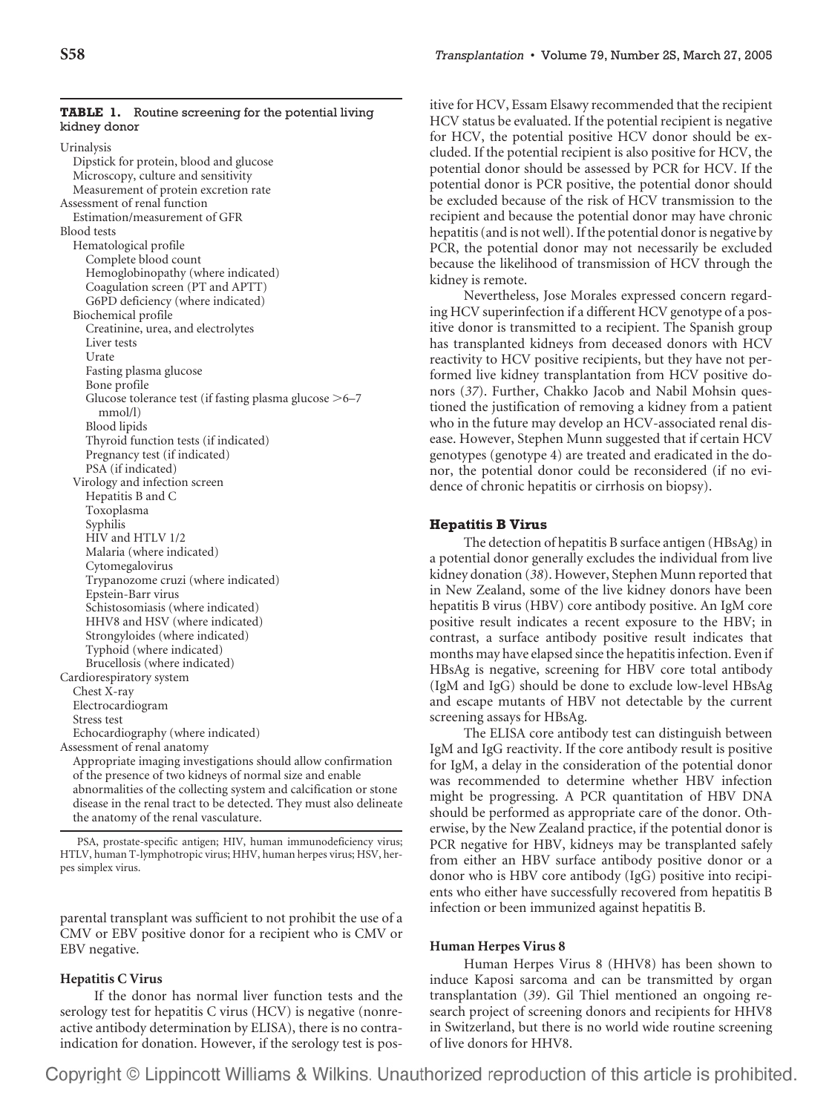|              |  | <b>TABLE 1.</b> Routine screening for the potential living |  |  |
|--------------|--|------------------------------------------------------------|--|--|
| kidney donor |  |                                                            |  |  |

Urinalysis Dipstick for protein, blood and glucose Microscopy, culture and sensitivity Measurement of protein excretion rate Assessment of renal function Estimation/measurement of GFR Blood tests Hematological profile Complete blood count Hemoglobinopathy (where indicated) Coagulation screen (PT and APTT) G6PD deficiency (where indicated) Biochemical profile Creatinine, urea, and electrolytes Liver tests Urate Fasting plasma glucose Bone profile Glucose tolerance test (if fasting plasma glucose  $>6-7$ mmol/l) Blood lipids Thyroid function tests (if indicated) Pregnancy test (if indicated) PSA (if indicated) Virology and infection screen Hepatitis B and C Toxoplasma Syphilis HIV and HTLV 1/2 Malaria (where indicated) Cytomegalovirus Trypanozome cruzi (where indicated) Epstein-Barr virus Schistosomiasis (where indicated) HHV8 and HSV (where indicated) Strongyloides (where indicated) Typhoid (where indicated) Brucellosis (where indicated) Cardiorespiratory system Chest X-ray Electrocardiogram Stress test Echocardiography (where indicated) Assessment of renal anatomy Appropriate imaging investigations should allow confirmation of the presence of two kidneys of normal size and enable abnormalities of the collecting system and calcification or stone disease in the renal tract to be detected. They must also delineate

PSA, prostate-specific antigen; HIV, human immunodeficiency virus; HTLV, human T-lymphotropic virus; HHV, human herpes virus; HSV, herpes simplex virus.

the anatomy of the renal vasculature.

parental transplant was sufficient to not prohibit the use of a CMV or EBV positive donor for a recipient who is CMV or EBV negative.

## **Hepatitis C Virus**

If the donor has normal liver function tests and the serology test for hepatitis C virus (HCV) is negative (nonreactive antibody determination by ELISA), there is no contraindication for donation. However, if the serology test is pos-

itive for HCV, Essam Elsawy recommended that the recipient HCV status be evaluated. If the potential recipient is negative for HCV, the potential positive HCV donor should be excluded. If the potential recipient is also positive for HCV, the potential donor should be assessed by PCR for HCV. If the potential donor is PCR positive, the potential donor should be excluded because of the risk of HCV transmission to the recipient and because the potential donor may have chronic hepatitis (and is not well). If the potential donor is negative by PCR, the potential donor may not necessarily be excluded because the likelihood of transmission of HCV through the kidney is remote.

Nevertheless, Jose Morales expressed concern regarding HCV superinfection if a different HCV genotype of a positive donor is transmitted to a recipient. The Spanish group has transplanted kidneys from deceased donors with HCV reactivity to HCV positive recipients, but they have not performed live kidney transplantation from HCV positive donors (*37*). Further, Chakko Jacob and Nabil Mohsin questioned the justification of removing a kidney from a patient who in the future may develop an HCV-associated renal disease. However, Stephen Munn suggested that if certain HCV genotypes (genotype 4) are treated and eradicated in the donor, the potential donor could be reconsidered (if no evidence of chronic hepatitis or cirrhosis on biopsy).

## **Hepatitis B Virus**

The detection of hepatitis B surface antigen (HBsAg) in a potential donor generally excludes the individual from live kidney donation (*38*). However, Stephen Munn reported that in New Zealand, some of the live kidney donors have been hepatitis B virus (HBV) core antibody positive. An IgM core positive result indicates a recent exposure to the HBV; in contrast, a surface antibody positive result indicates that months may have elapsed since the hepatitis infection. Even if HBsAg is negative, screening for HBV core total antibody (IgM and IgG) should be done to exclude low-level HBsAg and escape mutants of HBV not detectable by the current screening assays for HBsAg.

The ELISA core antibody test can distinguish between IgM and IgG reactivity. If the core antibody result is positive for IgM, a delay in the consideration of the potential donor was recommended to determine whether HBV infection might be progressing. A PCR quantitation of HBV DNA should be performed as appropriate care of the donor. Otherwise, by the New Zealand practice, if the potential donor is PCR negative for HBV, kidneys may be transplanted safely from either an HBV surface antibody positive donor or a donor who is HBV core antibody (IgG) positive into recipients who either have successfully recovered from hepatitis B infection or been immunized against hepatitis B.

## **Human Herpes Virus 8**

Human Herpes Virus 8 (HHV8) has been shown to induce Kaposi sarcoma and can be transmitted by organ transplantation (*39*). Gil Thiel mentioned an ongoing research project of screening donors and recipients for HHV8 in Switzerland, but there is no world wide routine screening of live donors for HHV8.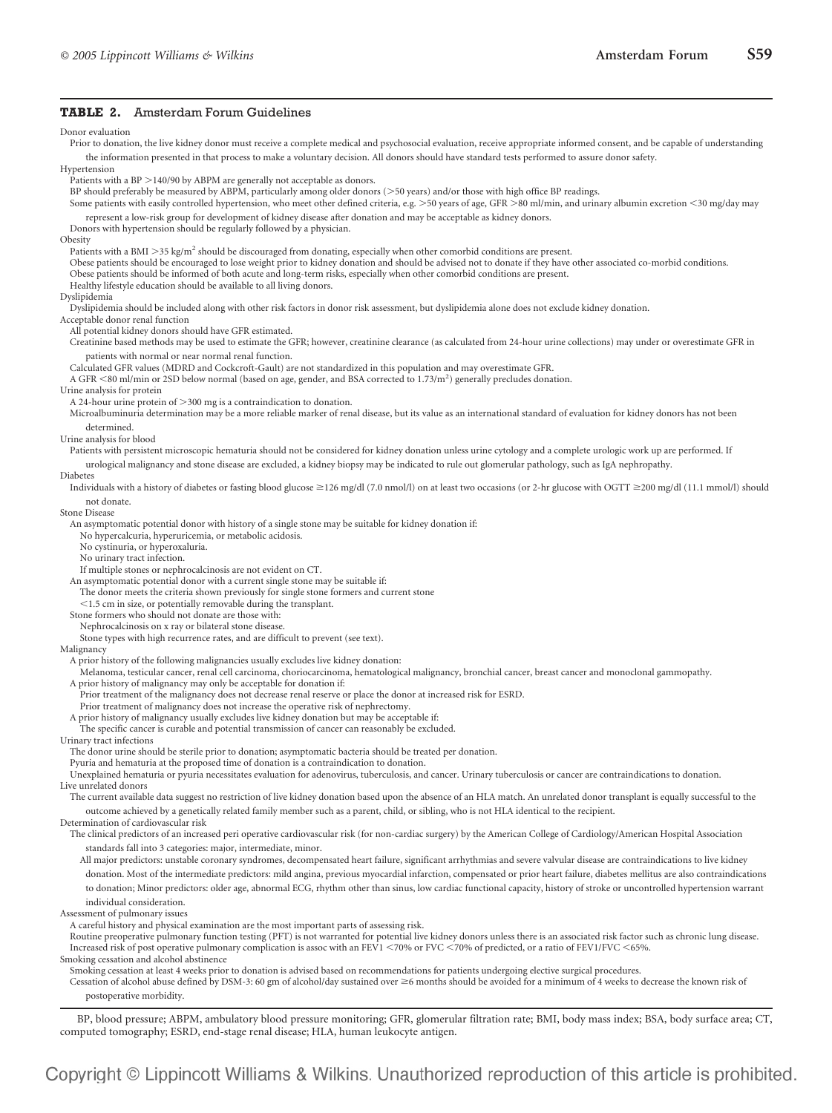#### **TABLE 2.** Amsterdam Forum Guidelines

Donor evaluation

the information presented in that process to make a voluntary decision. All donors should have standard tests performed to assure donor safety. Hypertension Patients with a BP  $>$  140/90 by ABPM are generally not acceptable as donors. BP should preferably be measured by ABPM, particularly among older donors (50 years) and/or those with high office BP readings. Some patients with easily controlled hypertension, who meet other defined criteria, e.g. 50 years of age, GFR 80 ml/min, and urinary albumin excretion -30 mg/day may represent a low-risk group for development of kidney disease after donation and may be acceptable as kidney donors. Donors with hypertension should be regularly followed by a physician. Obesity Patients with a BMI > 35 kg/m<sup>2</sup> should be discouraged from donating, especially when other comorbid conditions are present. Obese patients should be encouraged to lose weight prior to kidney donation and should be advised not to donate if they have other associated co-morbid conditions. Obese patients should be informed of both acute and long-term risks, especially when other comorbid conditions are present. Healthy lifestyle education should be available to all living donors. Dyslipidemia Dyslipidemia should be included along with other risk factors in donor risk assessment, but dyslipidemia alone does not exclude kidney donation. Acceptable donor renal function All potential kidney donors should have GFR estimated. Creatinine based methods may be used to estimate the GFR; however, creatinine clearance (as calculated from 24-hour urine collections) may under or overestimate GFR in patients with normal or near normal renal function. Calculated GFR values (MDRD and Cockcroft-Gault) are not standardized in this population and may overestimate GFR. A GFR <80 ml/min or 2SD below normal (based on age, gender, and BSA corrected to 1.73/m<sup>2</sup>) generally precludes donation. Urine analysis for protein A 24-hour urine protein of  $>$  300 mg is a contraindication to donation. Microalbuminuria determination may be a more reliable marker of renal disease, but its value as an international standard of evaluation for kidney donors has not been determined. Urine analysis for blood Patients with persistent microscopic hematuria should not be considered for kidney donation unless urine cytology and a complete urologic work up are performed. If urological malignancy and stone disease are excluded, a kidney biopsy may be indicated to rule out glomerular pathology, such as IgA nephropathy. Diabetes Individuals with a history of diabetes or fasting blood glucose 126 mg/dl (7.0 nmol/l) on at least two occasions (or 2-hr glucose with OGTT 200 mg/dl (11.1 mmol/l) should not donate. Stone Disease An asymptomatic potential donor with history of a single stone may be suitable for kidney donation if: No hypercalcuria, hyperuricemia, or metabolic acidosis. No cystinuria, or hyperoxaluria. No urinary tract infection. If multiple stones or nephrocalcinosis are not evident on CT. An asymptomatic potential donor with a current single stone may be suitable if: The donor meets the criteria shown previously for single stone formers and current stone -1.5 cm in size, or potentially removable during the transplant. Stone formers who should not donate are those with: Nephrocalcinosis on x ray or bilateral stone disease. Stone types with high recurrence rates, and are difficult to prevent (see text). Malignancy A prior history of the following malignancies usually excludes live kidney donation: Melanoma, testicular cancer, renal cell carcinoma, choriocarcinoma, hematological malignancy, bronchial cancer, breast cancer and monoclonal gammopathy. A prior history of malignancy may only be acceptable for donation if: Prior treatment of the malignancy does not decrease renal reserve or place the donor at increased risk for ESRD. Prior treatment of malignancy does not increase the operative risk of nephrectomy. A prior history of malignancy usually excludes live kidney donation but may be acceptable if: The specific cancer is curable and potential transmission of cancer can reasonably be excluded. Urinary tract infections The donor urine should be sterile prior to donation; asymptomatic bacteria should be treated per donation. Pyuria and hematuria at the proposed time of donation is a contraindication to donation. Unexplained hematuria or pyuria necessitates evaluation for adenovirus, tuberculosis, and cancer. Urinary tuberculosis or cancer are contraindications to donation. Live unrelated donors The current available data suggest no restriction of live kidney donation based upon the absence of an HLA match. An unrelated donor transplant is equally successful to the outcome achieved by a genetically related family member such as a parent, child, or sibling, who is not HLA identical to the recipient. Determination of cardiovascular risk The clinical predictors of an increased peri operative cardiovascular risk (for non-cardiac surgery) by the American College of Cardiology/American Hospital Association standards fall into 3 categories: major, intermediate, minor.

Prior to donation, the live kidney donor must receive a complete medical and psychosocial evaluation, receive appropriate informed consent, and be capable of understanding

- All major predictors: unstable coronary syndromes, decompensated heart failure, significant arrhythmias and severe valvular disease are contraindications to live kidney
- donation. Most of the intermediate predictors: mild angina, previous myocardial infarction, compensated or prior heart failure, diabetes mellitus are also contraindications to donation; Minor predictors: older age, abnormal ECG, rhythm other than sinus, low cardiac functional capacity, history of stroke or uncontrolled hypertension warrant individual consideration.

Assessment of pulmonary issues

A careful history and physical examination are the most important parts of assessing risk.

Routine preoperative pulmonary function testing (PFT) is not warranted for potential live kidney donors unless there is an associated risk factor such as chronic lung disease. Increased risk of post operative pulmonary complication is assoc with an FEV1  $<$  70% or FVC  $<$  70% of predicted, or a ratio of FEV1/FVC  $<$  65%. Smoking cessation and alcohol abstinence

Smoking cessation at least 4 weeks prior to donation is advised based on recommendations for patients undergoing elective surgical procedures.

Cessation of alcohol abuse defined by DSM-3: 60 gm of alcohol/day sustained over  $\geq$ 6 months should be avoided for a minimum of 4 weeks to decrease the known risk of postoperative morbidity.

BP, blood pressure; ABPM, ambulatory blood pressure monitoring; GFR, glomerular filtration rate; BMI, body mass index; BSA, body surface area; CT, computed tomography; ESRD, end-stage renal disease; HLA, human leukocyte antigen.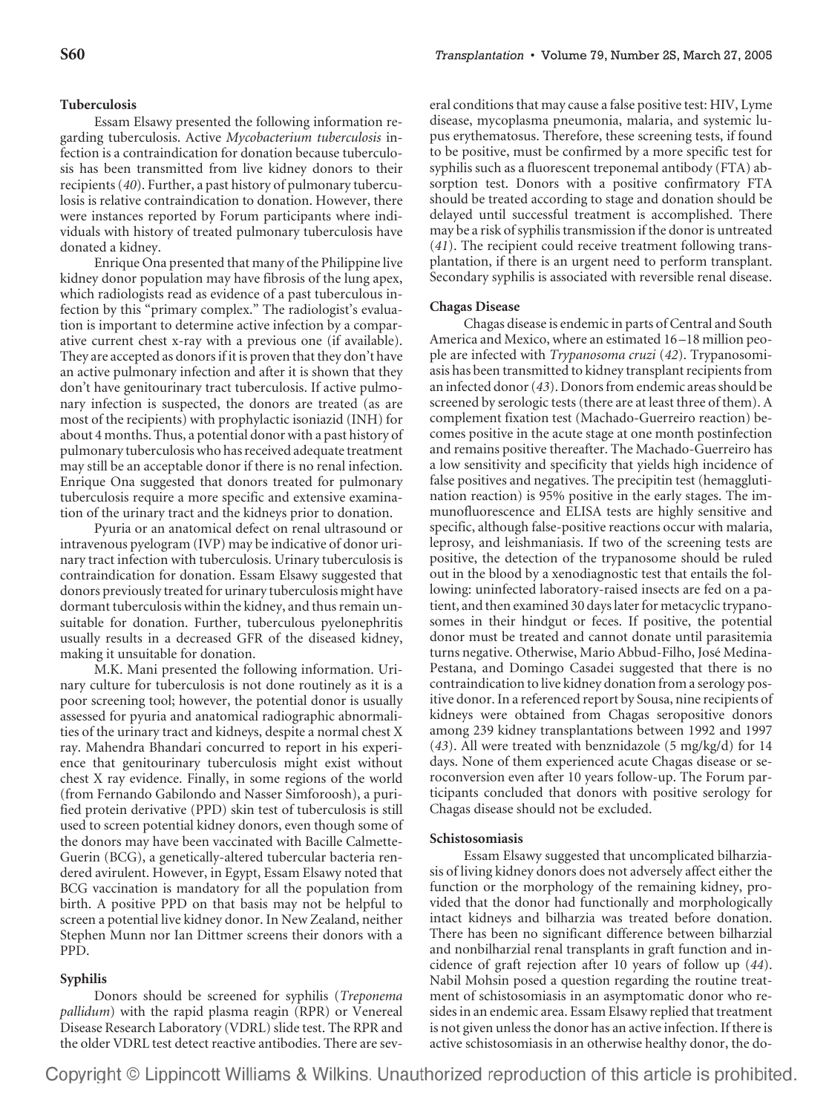# **Tuberculosis**

Essam Elsawy presented the following information regarding tuberculosis. Active *Mycobacterium tuberculosis* infection is a contraindication for donation because tuberculosis has been transmitted from live kidney donors to their recipients (*40*). Further, a past history of pulmonary tuberculosis is relative contraindication to donation. However, there were instances reported by Forum participants where individuals with history of treated pulmonary tuberculosis have donated a kidney.

Enrique Ona presented that many of the Philippine live kidney donor population may have fibrosis of the lung apex, which radiologists read as evidence of a past tuberculous infection by this "primary complex." The radiologist's evaluation is important to determine active infection by a comparative current chest x-ray with a previous one (if available). They are accepted as donors if it is proven that they don't have an active pulmonary infection and after it is shown that they don't have genitourinary tract tuberculosis. If active pulmonary infection is suspected, the donors are treated (as are most of the recipients) with prophylactic isoniazid (INH) for about 4 months. Thus, a potential donor with a past history of pulmonary tuberculosis who has received adequate treatment may still be an acceptable donor if there is no renal infection. Enrique Ona suggested that donors treated for pulmonary tuberculosis require a more specific and extensive examination of the urinary tract and the kidneys prior to donation.

Pyuria or an anatomical defect on renal ultrasound or intravenous pyelogram (IVP) may be indicative of donor urinary tract infection with tuberculosis. Urinary tuberculosis is contraindication for donation. Essam Elsawy suggested that donors previously treated for urinary tuberculosis might have dormant tuberculosis within the kidney, and thus remain unsuitable for donation. Further, tuberculous pyelonephritis usually results in a decreased GFR of the diseased kidney, making it unsuitable for donation.

M.K. Mani presented the following information. Urinary culture for tuberculosis is not done routinely as it is a poor screening tool; however, the potential donor is usually assessed for pyuria and anatomical radiographic abnormalities of the urinary tract and kidneys, despite a normal chest X ray. Mahendra Bhandari concurred to report in his experience that genitourinary tuberculosis might exist without chest X ray evidence. Finally, in some regions of the world (from Fernando Gabilondo and Nasser Simforoosh), a purified protein derivative (PPD) skin test of tuberculosis is still used to screen potential kidney donors, even though some of the donors may have been vaccinated with Bacille Calmette-Guerin (BCG), a genetically-altered tubercular bacteria rendered avirulent. However, in Egypt, Essam Elsawy noted that BCG vaccination is mandatory for all the population from birth. A positive PPD on that basis may not be helpful to screen a potential live kidney donor. In New Zealand, neither Stephen Munn nor Ian Dittmer screens their donors with a PPD.

## **Syphilis**

Donors should be screened for syphilis (*Treponema pallidum*) with the rapid plasma reagin (RPR) or Venereal Disease Research Laboratory (VDRL) slide test. The RPR and the older VDRL test detect reactive antibodies. There are several conditions that may cause a false positive test: HIV, Lyme disease, mycoplasma pneumonia, malaria, and systemic lupus erythematosus. Therefore, these screening tests, if found to be positive, must be confirmed by a more specific test for syphilis such as a fluorescent treponemal antibody (FTA) absorption test. Donors with a positive confirmatory FTA should be treated according to stage and donation should be delayed until successful treatment is accomplished. There may be a risk of syphilis transmission if the donor is untreated (*41*). The recipient could receive treatment following transplantation, if there is an urgent need to perform transplant. Secondary syphilis is associated with reversible renal disease.

## **Chagas Disease**

Chagas disease is endemic in parts of Central and South America and Mexico, where an estimated 16 –18 million people are infected with *Trypanosoma cruzi* (*42*). Trypanosomiasis has been transmitted to kidney transplant recipients from an infected donor (*43*). Donors from endemic areas should be screened by serologic tests (there are at least three of them). A complement fixation test (Machado-Guerreiro reaction) becomes positive in the acute stage at one month postinfection and remains positive thereafter. The Machado-Guerreiro has a low sensitivity and specificity that yields high incidence of false positives and negatives. The precipitin test (hemagglutination reaction) is 95% positive in the early stages. The immunofluorescence and ELISA tests are highly sensitive and specific, although false-positive reactions occur with malaria, leprosy, and leishmaniasis. If two of the screening tests are positive, the detection of the trypanosome should be ruled out in the blood by a xenodiagnostic test that entails the following: uninfected laboratory-raised insects are fed on a patient, and then examined 30 days later for metacyclic trypanosomes in their hindgut or feces. If positive, the potential donor must be treated and cannot donate until parasitemia turns negative. Otherwise, Mario Abbud-Filho, Jose´ Medina-Pestana, and Domingo Casadei suggested that there is no contraindication to live kidney donation from a serology positive donor. In a referenced report by Sousa, nine recipients of kidneys were obtained from Chagas seropositive donors among 239 kidney transplantations between 1992 and 1997 (*43*). All were treated with benznidazole (5 mg/kg/d) for 14 days. None of them experienced acute Chagas disease or seroconversion even after 10 years follow-up. The Forum participants concluded that donors with positive serology for Chagas disease should not be excluded.

#### **Schistosomiasis**

Essam Elsawy suggested that uncomplicated bilharziasis of living kidney donors does not adversely affect either the function or the morphology of the remaining kidney, provided that the donor had functionally and morphologically intact kidneys and bilharzia was treated before donation. There has been no significant difference between bilharzial and nonbilharzial renal transplants in graft function and incidence of graft rejection after 10 years of follow up (*44*). Nabil Mohsin posed a question regarding the routine treatment of schistosomiasis in an asymptomatic donor who resides in an endemic area. Essam Elsawy replied that treatment is not given unless the donor has an active infection. If there is active schistosomiasis in an otherwise healthy donor, the do-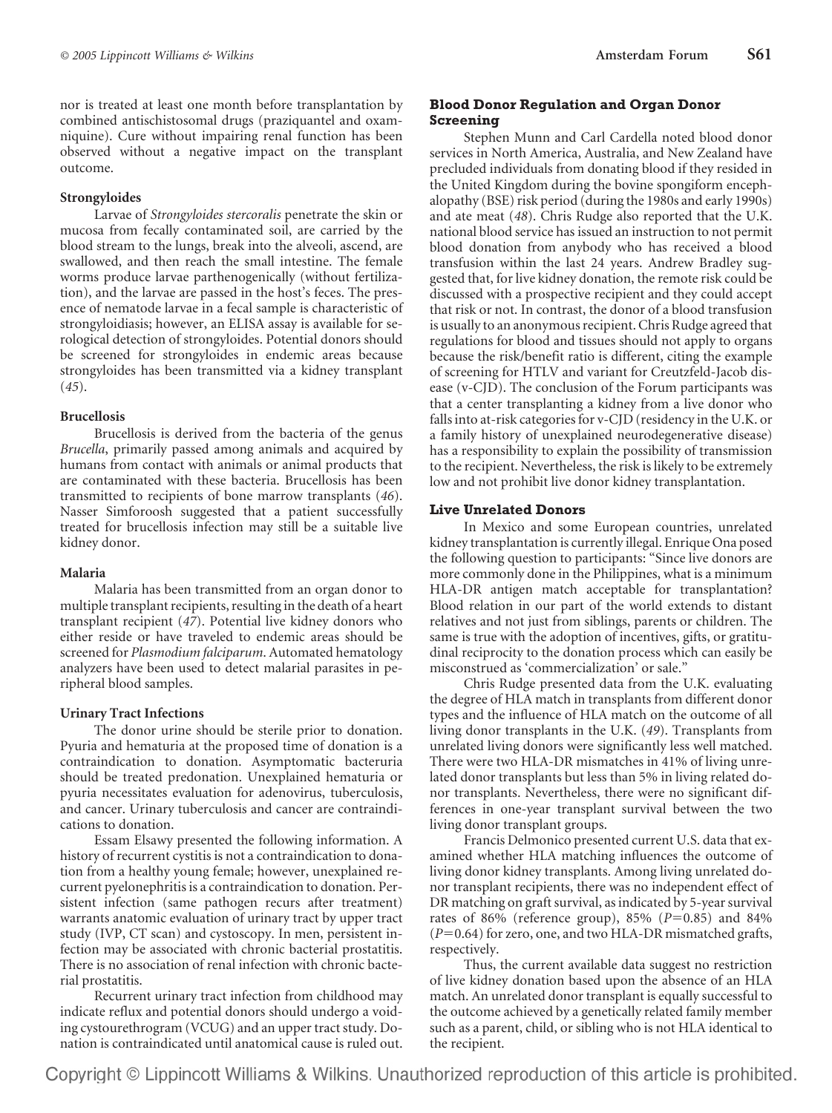nor is treated at least one month before transplantation by combined antischistosomal drugs (praziquantel and oxamniquine). Cure without impairing renal function has been observed without a negative impact on the transplant outcome.

# **Strongyloides**

Larvae of *Strongyloides stercoralis* penetrate the skin or mucosa from fecally contaminated soil, are carried by the blood stream to the lungs, break into the alveoli, ascend, are swallowed, and then reach the small intestine. The female worms produce larvae parthenogenically (without fertilization), and the larvae are passed in the host's feces. The presence of nematode larvae in a fecal sample is characteristic of strongyloidiasis; however, an ELISA assay is available for serological detection of strongyloides. Potential donors should be screened for strongyloides in endemic areas because strongyloides has been transmitted via a kidney transplant (*45*).

# **Brucellosis**

Brucellosis is derived from the bacteria of the genus *Brucella*, primarily passed among animals and acquired by humans from contact with animals or animal products that are contaminated with these bacteria. Brucellosis has been transmitted to recipients of bone marrow transplants (*46*). Nasser Simforoosh suggested that a patient successfully treated for brucellosis infection may still be a suitable live kidney donor.

# **Malaria**

Malaria has been transmitted from an organ donor to multiple transplant recipients, resulting in the death of a heart transplant recipient (*47*). Potential live kidney donors who either reside or have traveled to endemic areas should be screened for *Plasmodium falciparum*. Automated hematology analyzers have been used to detect malarial parasites in peripheral blood samples.

# **Urinary Tract Infections**

The donor urine should be sterile prior to donation. Pyuria and hematuria at the proposed time of donation is a contraindication to donation. Asymptomatic bacteruria should be treated predonation. Unexplained hematuria or pyuria necessitates evaluation for adenovirus, tuberculosis, and cancer. Urinary tuberculosis and cancer are contraindications to donation.

Essam Elsawy presented the following information. A history of recurrent cystitis is not a contraindication to donation from a healthy young female; however, unexplained recurrent pyelonephritis is a contraindication to donation. Persistent infection (same pathogen recurs after treatment) warrants anatomic evaluation of urinary tract by upper tract study (IVP, CT scan) and cystoscopy. In men, persistent infection may be associated with chronic bacterial prostatitis. There is no association of renal infection with chronic bacterial prostatitis.

Recurrent urinary tract infection from childhood may indicate reflux and potential donors should undergo a voiding cystourethrogram (VCUG) and an upper tract study. Donation is contraindicated until anatomical cause is ruled out.

# **Blood Donor Regulation and Organ Donor Screening**

Stephen Munn and Carl Cardella noted blood donor services in North America, Australia, and New Zealand have precluded individuals from donating blood if they resided in the United Kingdom during the bovine spongiform encephalopathy (BSE) risk period (during the 1980s and early 1990s) and ate meat (*48*). Chris Rudge also reported that the U.K. national blood service has issued an instruction to not permit blood donation from anybody who has received a blood transfusion within the last 24 years. Andrew Bradley suggested that, for live kidney donation, the remote risk could be discussed with a prospective recipient and they could accept that risk or not. In contrast, the donor of a blood transfusion is usually to an anonymous recipient. Chris Rudge agreed that regulations for blood and tissues should not apply to organs because the risk/benefit ratio is different, citing the example of screening for HTLV and variant for Creutzfeld-Jacob disease (v-CJD). The conclusion of the Forum participants was that a center transplanting a kidney from a live donor who falls into at-risk categories for v-CJD (residency in the U.K. or a family history of unexplained neurodegenerative disease) has a responsibility to explain the possibility of transmission to the recipient. Nevertheless, the risk is likely to be extremely low and not prohibit live donor kidney transplantation.

# **Live Unrelated Donors**

In Mexico and some European countries, unrelated kidney transplantation is currently illegal. Enrique Ona posed the following question to participants: "Since live donors are more commonly done in the Philippines, what is a minimum HLA-DR antigen match acceptable for transplantation? Blood relation in our part of the world extends to distant relatives and not just from siblings, parents or children. The same is true with the adoption of incentives, gifts, or gratitudinal reciprocity to the donation process which can easily be misconstrued as 'commercialization' or sale."

Chris Rudge presented data from the U.K. evaluating the degree of HLA match in transplants from different donor types and the influence of HLA match on the outcome of all living donor transplants in the U.K. (*49*). Transplants from unrelated living donors were significantly less well matched. There were two HLA-DR mismatches in 41% of living unrelated donor transplants but less than 5% in living related donor transplants. Nevertheless, there were no significant differences in one-year transplant survival between the two living donor transplant groups.

Francis Delmonico presented current U.S. data that examined whether HLA matching influences the outcome of living donor kidney transplants. Among living unrelated donor transplant recipients, there was no independent effect of DR matching on graft survival, as indicated by 5-year survival rates of 86% (reference group), 85% ( $P=0.85$ ) and 84%  $(P=0.64)$  for zero, one, and two HLA-DR mismatched grafts, respectively.

Thus, the current available data suggest no restriction of live kidney donation based upon the absence of an HLA match. An unrelated donor transplant is equally successful to the outcome achieved by a genetically related family member such as a parent, child, or sibling who is not HLA identical to the recipient.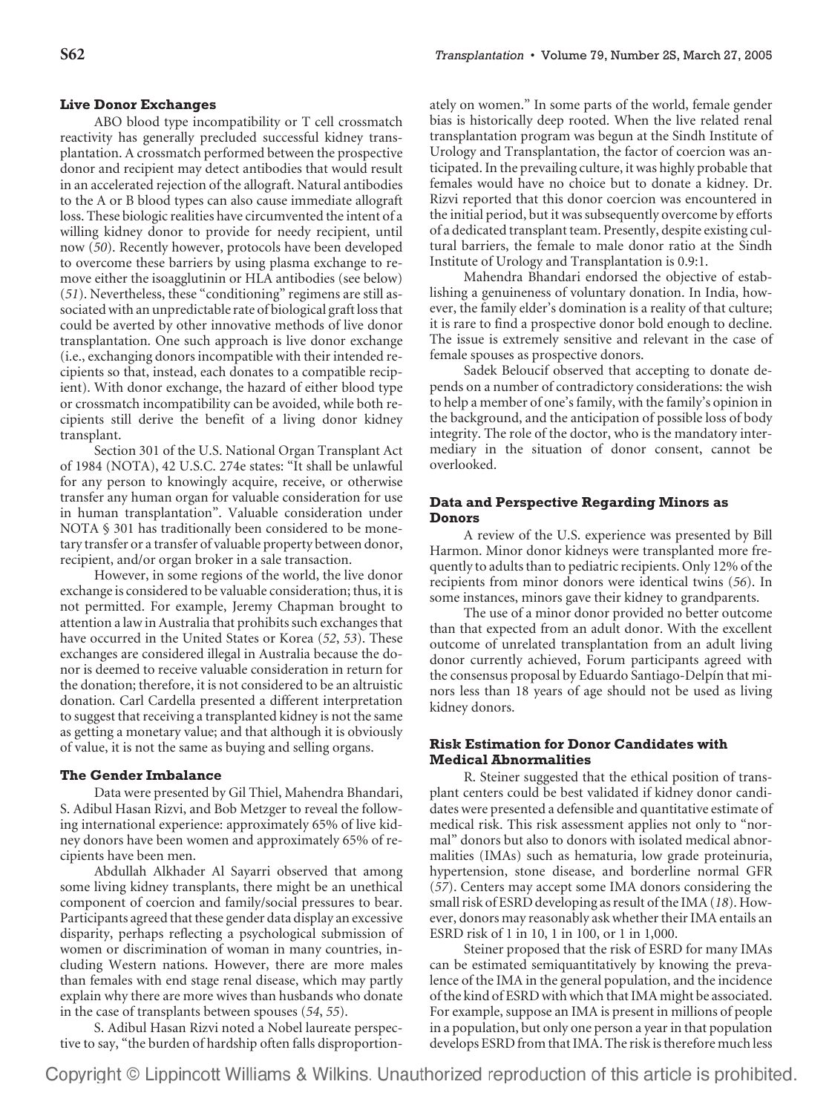## **Live Donor Exchanges**

ABO blood type incompatibility or T cell crossmatch reactivity has generally precluded successful kidney transplantation. A crossmatch performed between the prospective donor and recipient may detect antibodies that would result in an accelerated rejection of the allograft. Natural antibodies to the A or B blood types can also cause immediate allograft loss. These biologic realities have circumvented the intent of a willing kidney donor to provide for needy recipient, until now (*50*). Recently however, protocols have been developed to overcome these barriers by using plasma exchange to remove either the isoagglutinin or HLA antibodies (see below) (*51*). Nevertheless, these "conditioning" regimens are still associated with an unpredictable rate of biological graft loss that could be averted by other innovative methods of live donor transplantation. One such approach is live donor exchange (i.e., exchanging donors incompatible with their intended recipients so that, instead, each donates to a compatible recipient). With donor exchange, the hazard of either blood type or crossmatch incompatibility can be avoided, while both recipients still derive the benefit of a living donor kidney transplant.

Section 301 of the U.S. National Organ Transplant Act of 1984 (NOTA), 42 U.S.C. 274e states: "It shall be unlawful for any person to knowingly acquire, receive, or otherwise transfer any human organ for valuable consideration for use in human transplantation". Valuable consideration under NOTA § 301 has traditionally been considered to be monetary transfer or a transfer of valuable property between donor, recipient, and/or organ broker in a sale transaction.

However, in some regions of the world, the live donor exchange is considered to be valuable consideration; thus, it is not permitted. For example, Jeremy Chapman brought to attention a law in Australia that prohibits such exchanges that have occurred in the United States or Korea (*52*, *53*). These exchanges are considered illegal in Australia because the donor is deemed to receive valuable consideration in return for the donation; therefore, it is not considered to be an altruistic donation. Carl Cardella presented a different interpretation to suggest that receiving a transplanted kidney is not the same as getting a monetary value; and that although it is obviously of value, it is not the same as buying and selling organs.

## **The Gender Imbalance**

Data were presented by Gil Thiel, Mahendra Bhandari, S. Adibul Hasan Rizvi, and Bob Metzger to reveal the following international experience: approximately 65% of live kidney donors have been women and approximately 65% of recipients have been men.

Abdullah Alkhader Al Sayarri observed that among some living kidney transplants, there might be an unethical component of coercion and family/social pressures to bear. Participants agreed that these gender data display an excessive disparity, perhaps reflecting a psychological submission of women or discrimination of woman in many countries, including Western nations. However, there are more males than females with end stage renal disease, which may partly explain why there are more wives than husbands who donate in the case of transplants between spouses (*54*, *55*).

S. Adibul Hasan Rizvi noted a Nobel laureate perspective to say, "the burden of hardship often falls disproportionately on women." In some parts of the world, female gender bias is historically deep rooted. When the live related renal transplantation program was begun at the Sindh Institute of Urology and Transplantation, the factor of coercion was anticipated. In the prevailing culture, it was highly probable that females would have no choice but to donate a kidney. Dr. Rizvi reported that this donor coercion was encountered in the initial period, but it was subsequently overcome by efforts of a dedicated transplant team. Presently, despite existing cultural barriers, the female to male donor ratio at the Sindh Institute of Urology and Transplantation is 0.9:1.

Mahendra Bhandari endorsed the objective of establishing a genuineness of voluntary donation. In India, however, the family elder's domination is a reality of that culture; it is rare to find a prospective donor bold enough to decline. The issue is extremely sensitive and relevant in the case of female spouses as prospective donors.

Sadek Beloucif observed that accepting to donate depends on a number of contradictory considerations: the wish to help a member of one's family, with the family's opinion in the background, and the anticipation of possible loss of body integrity. The role of the doctor, who is the mandatory intermediary in the situation of donor consent, cannot be overlooked.

# **Data and Perspective Regarding Minors as Donors**

A review of the U.S. experience was presented by Bill Harmon. Minor donor kidneys were transplanted more frequently to adults than to pediatric recipients. Only 12% of the recipients from minor donors were identical twins (*56*). In some instances, minors gave their kidney to grandparents.

The use of a minor donor provided no better outcome than that expected from an adult donor. With the excellent outcome of unrelated transplantation from an adult living donor currently achieved, Forum participants agreed with the consensus proposal by Eduardo Santiago-Delpín that minors less than 18 years of age should not be used as living kidney donors.

## **Risk Estimation for Donor Candidates with Medical Abnormalities**

R. Steiner suggested that the ethical position of transplant centers could be best validated if kidney donor candidates were presented a defensible and quantitative estimate of medical risk. This risk assessment applies not only to "normal" donors but also to donors with isolated medical abnormalities (IMAs) such as hematuria, low grade proteinuria, hypertension, stone disease, and borderline normal GFR (*57*). Centers may accept some IMA donors considering the small risk of ESRD developing as result of the IMA (*18*). However, donors may reasonably ask whether their IMA entails an ESRD risk of 1 in 10, 1 in 100, or 1 in 1,000.

Steiner proposed that the risk of ESRD for many IMAs can be estimated semiquantitatively by knowing the prevalence of the IMA in the general population, and the incidence of the kind of ESRD with which that IMA might be associated. For example, suppose an IMA is present in millions of people in a population, but only one person a year in that population develops ESRD from that IMA. The risk is therefore much less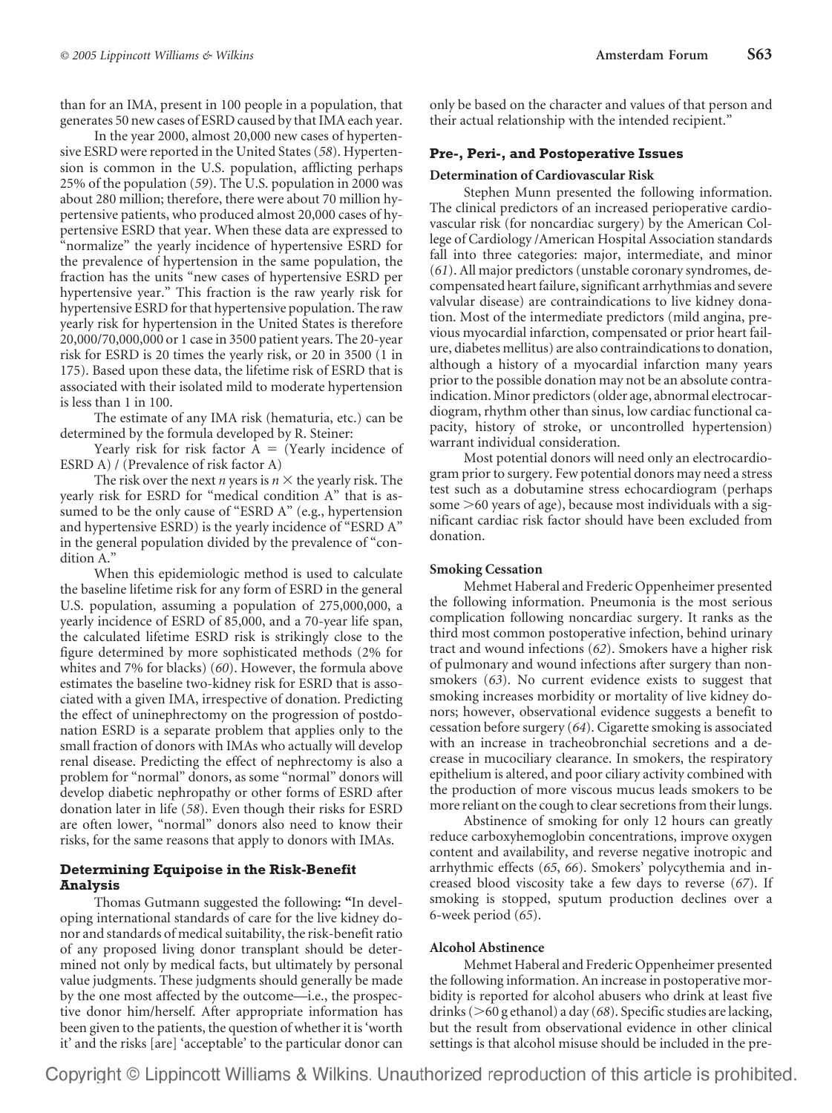than for an IMA, present in 100 people in a population, that generates 50 new cases of ESRD caused by that IMA each year.

In the year 2000, almost 20,000 new cases of hypertensive ESRD were reported in the United States (*58*). Hypertension is common in the U.S. population, afflicting perhaps 25% of the population (*59*). The U.S. population in 2000 was about 280 million; therefore, there were about 70 million hypertensive patients, who produced almost 20,000 cases of hypertensive ESRD that year. When these data are expressed to "normalize" the yearly incidence of hypertensive ESRD for the prevalence of hypertension in the same population, the fraction has the units "new cases of hypertensive ESRD per hypertensive year." This fraction is the raw yearly risk for hypertensive ESRD for that hypertensive population. The raw yearly risk for hypertension in the United States is therefore 20,000/70,000,000 or 1 case in 3500 patient years. The 20-year risk for ESRD is 20 times the yearly risk, or 20 in 3500 (1 in 175). Based upon these data, the lifetime risk of ESRD that is associated with their isolated mild to moderate hypertension is less than 1 in 100.

The estimate of any IMA risk (hematuria, etc.) can be determined by the formula developed by R. Steiner:

Yearly risk for risk factor  $A =$  (Yearly incidence of ESRD A) / (Prevalence of risk factor A)

The risk over the next *n* years is  $n \times$  the yearly risk. The yearly risk for ESRD for "medical condition A" that is assumed to be the only cause of "ESRD A" (e.g., hypertension and hypertensive ESRD) is the yearly incidence of "ESRD A" in the general population divided by the prevalence of "condition A."

When this epidemiologic method is used to calculate the baseline lifetime risk for any form of ESRD in the general U.S. population, assuming a population of 275,000,000, a yearly incidence of ESRD of 85,000, and a 70-year life span, the calculated lifetime ESRD risk is strikingly close to the figure determined by more sophisticated methods (2% for whites and 7% for blacks) (*60*). However, the formula above estimates the baseline two-kidney risk for ESRD that is associated with a given IMA, irrespective of donation. Predicting the effect of uninephrectomy on the progression of postdonation ESRD is a separate problem that applies only to the small fraction of donors with IMAs who actually will develop renal disease. Predicting the effect of nephrectomy is also a problem for "normal" donors, as some "normal" donors will develop diabetic nephropathy or other forms of ESRD after donation later in life (*58*). Even though their risks for ESRD are often lower, "normal" donors also need to know their risks, for the same reasons that apply to donors with IMAs.

# **Determining Equipoise in the Risk-Benefit Analysis**

Thomas Gutmann suggested the following**: "**In developing international standards of care for the live kidney donor and standards of medical suitability, the risk-benefit ratio of any proposed living donor transplant should be determined not only by medical facts, but ultimately by personal value judgments. These judgments should generally be made by the one most affected by the outcome—i.e., the prospective donor him/herself. After appropriate information has been given to the patients, the question of whether it is 'worth it' and the risks [are] 'acceptable' to the particular donor can only be based on the character and values of that person and their actual relationship with the intended recipient."

## **Pre-, Peri-, and Postoperative Issues**

#### **Determination of Cardiovascular Risk**

Stephen Munn presented the following information. The clinical predictors of an increased perioperative cardiovascular risk (for noncardiac surgery) by the American College of Cardiology /American Hospital Association standards fall into three categories: major, intermediate, and minor (*61*). All major predictors (unstable coronary syndromes, decompensated heart failure, significant arrhythmias and severe valvular disease) are contraindications to live kidney donation. Most of the intermediate predictors (mild angina, previous myocardial infarction, compensated or prior heart failure, diabetes mellitus) are also contraindications to donation, although a history of a myocardial infarction many years prior to the possible donation may not be an absolute contraindication. Minor predictors (older age, abnormal electrocardiogram, rhythm other than sinus, low cardiac functional capacity, history of stroke, or uncontrolled hypertension) warrant individual consideration.

Most potential donors will need only an electrocardiogram prior to surgery. Few potential donors may need a stress test such as a dobutamine stress echocardiogram (perhaps some >60 years of age), because most individuals with a significant cardiac risk factor should have been excluded from donation.

# **Smoking Cessation**

Mehmet Haberal and Frederic Oppenheimer presented the following information. Pneumonia is the most serious complication following noncardiac surgery. It ranks as the third most common postoperative infection, behind urinary tract and wound infections (*62*). Smokers have a higher risk of pulmonary and wound infections after surgery than nonsmokers (*63*). No current evidence exists to suggest that smoking increases morbidity or mortality of live kidney donors; however, observational evidence suggests a benefit to cessation before surgery (*64*). Cigarette smoking is associated with an increase in tracheobronchial secretions and a decrease in mucociliary clearance. In smokers, the respiratory epithelium is altered, and poor ciliary activity combined with the production of more viscous mucus leads smokers to be more reliant on the cough to clear secretions from their lungs.

Abstinence of smoking for only 12 hours can greatly reduce carboxyhemoglobin concentrations, improve oxygen content and availability, and reverse negative inotropic and arrhythmic effects (*65*, *66*). Smokers' polycythemia and increased blood viscosity take a few days to reverse (*67*). If smoking is stopped, sputum production declines over a 6-week period (*65*).

#### **Alcohol Abstinence**

Mehmet Haberal and Frederic Oppenheimer presented the following information. An increase in postoperative morbidity is reported for alcohol abusers who drink at least five drinks (>60 g ethanol) a day (68). Specific studies are lacking, but the result from observational evidence in other clinical settings is that alcohol misuse should be included in the pre-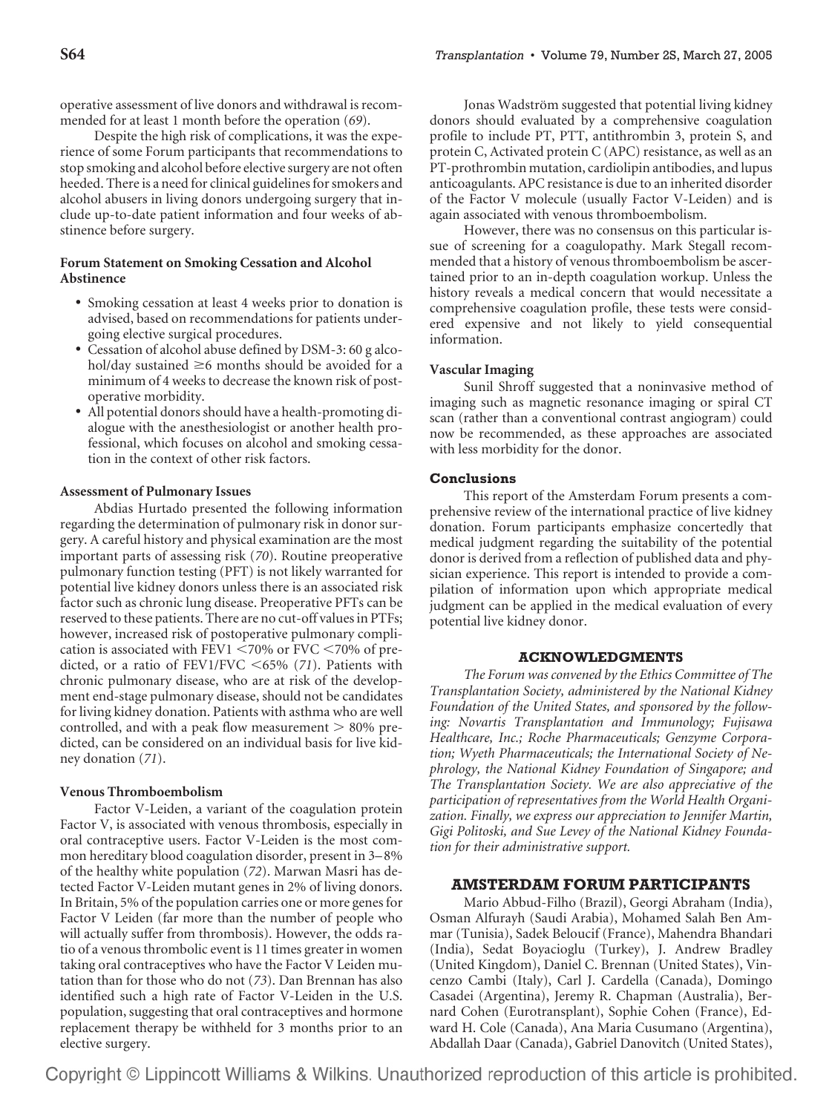operative assessment of live donors and withdrawal is recommended for at least 1 month before the operation (*69*).

Despite the high risk of complications, it was the experience of some Forum participants that recommendations to stop smoking and alcohol before elective surgery are not often heeded. There is a need for clinical guidelines for smokers and alcohol abusers in living donors undergoing surgery that include up-to-date patient information and four weeks of abstinence before surgery.

# **Forum Statement on Smoking Cessation and Alcohol Abstinence**

- Smoking cessation at least 4 weeks prior to donation is advised, based on recommendations for patients undergoing elective surgical procedures.
- Cessation of alcohol abuse defined by DSM-3: 60 g alcohol/day sustained  $\geq 6$  months should be avoided for a minimum of 4 weeks to decrease the known risk of postoperative morbidity.
- All potential donors should have a health-promoting dialogue with the anesthesiologist or another health professional, which focuses on alcohol and smoking cessation in the context of other risk factors.

## **Assessment of Pulmonary Issues**

Abdias Hurtado presented the following information regarding the determination of pulmonary risk in donor surgery. A careful history and physical examination are the most important parts of assessing risk (*70*). Routine preoperative pulmonary function testing (PFT) is not likely warranted for potential live kidney donors unless there is an associated risk factor such as chronic lung disease. Preoperative PFTs can be reserved to these patients. There are no cut-off values in PTFs; however, increased risk of postoperative pulmonary complication is associated with FEV1  $\leq$ 70% or FVC  $\leq$ 70% of predicted, or a ratio of FEV1/FVC -65% (*71*). Patients with chronic pulmonary disease, who are at risk of the development end-stage pulmonary disease, should not be candidates for living kidney donation. Patients with asthma who are well controlled, and with a peak flow measurement  $> 80\%$  predicted, can be considered on an individual basis for live kidney donation (*71*).

## **Venous Thromboembolism**

Factor V-Leiden, a variant of the coagulation protein Factor V, is associated with venous thrombosis, especially in oral contraceptive users. Factor V-Leiden is the most common hereditary blood coagulation disorder, present in 3– 8% of the healthy white population (*72*). Marwan Masri has detected Factor V-Leiden mutant genes in 2% of living donors. In Britain, 5% of the population carries one or more genes for Factor V Leiden (far more than the number of people who will actually suffer from thrombosis). However, the odds ratio of a venous thrombolic event is 11 times greater in women taking oral contraceptives who have the Factor V Leiden mutation than for those who do not (*73*). Dan Brennan has also identified such a high rate of Factor V-Leiden in the U.S. population, suggesting that oral contraceptives and hormone replacement therapy be withheld for 3 months prior to an elective surgery.

Jonas Wadström suggested that potential living kidney donors should evaluated by a comprehensive coagulation profile to include PT, PTT, antithrombin 3, protein S, and protein C, Activated protein C (APC) resistance, as well as an PT-prothrombin mutation, cardiolipin antibodies, and lupus anticoagulants. APC resistance is due to an inherited disorder of the Factor V molecule (usually Factor V-Leiden) and is again associated with venous thromboembolism.

However, there was no consensus on this particular issue of screening for a coagulopathy. Mark Stegall recommended that a history of venous thromboembolism be ascertained prior to an in-depth coagulation workup. Unless the history reveals a medical concern that would necessitate a comprehensive coagulation profile, these tests were considered expensive and not likely to yield consequential information.

## **Vascular Imaging**

Sunil Shroff suggested that a noninvasive method of imaging such as magnetic resonance imaging or spiral CT scan (rather than a conventional contrast angiogram) could now be recommended, as these approaches are associated with less morbidity for the donor.

## **Conclusions**

This report of the Amsterdam Forum presents a comprehensive review of the international practice of live kidney donation. Forum participants emphasize concertedly that medical judgment regarding the suitability of the potential donor is derived from a reflection of published data and physician experience. This report is intended to provide a compilation of information upon which appropriate medical judgment can be applied in the medical evaluation of every potential live kidney donor.

## **ACKNOWLEDGMENTS**

*The Forum was convened by the Ethics Committee of The Transplantation Society, administered by the National Kidney Foundation of the United States, and sponsored by the following: Novartis Transplantation and Immunology; Fujisawa Healthcare, Inc.; Roche Pharmaceuticals; Genzyme Corporation; Wyeth Pharmaceuticals; the International Society of Nephrology, the National Kidney Foundation of Singapore; and The Transplantation Society. We are also appreciative of the participation of representatives from the World Health Organization. Finally, we express our appreciation to Jennifer Martin, Gigi Politoski, and Sue Levey of the National Kidney Foundation for their administrative support.*

#### **AMSTERDAM FORUM PARTICIPANTS**

Mario Abbud-Filho (Brazil), Georgi Abraham (India), Osman Alfurayh (Saudi Arabia), Mohamed Salah Ben Ammar (Tunisia), Sadek Beloucif (France), Mahendra Bhandari (India), Sedat Boyacioglu (Turkey), J. Andrew Bradley (United Kingdom), Daniel C. Brennan (United States), Vincenzo Cambi (Italy), Carl J. Cardella (Canada), Domingo Casadei (Argentina), Jeremy R. Chapman (Australia), Bernard Cohen (Eurotransplant), Sophie Cohen (France), Edward H. Cole (Canada), Ana Maria Cusumano (Argentina), Abdallah Daar (Canada), Gabriel Danovitch (United States),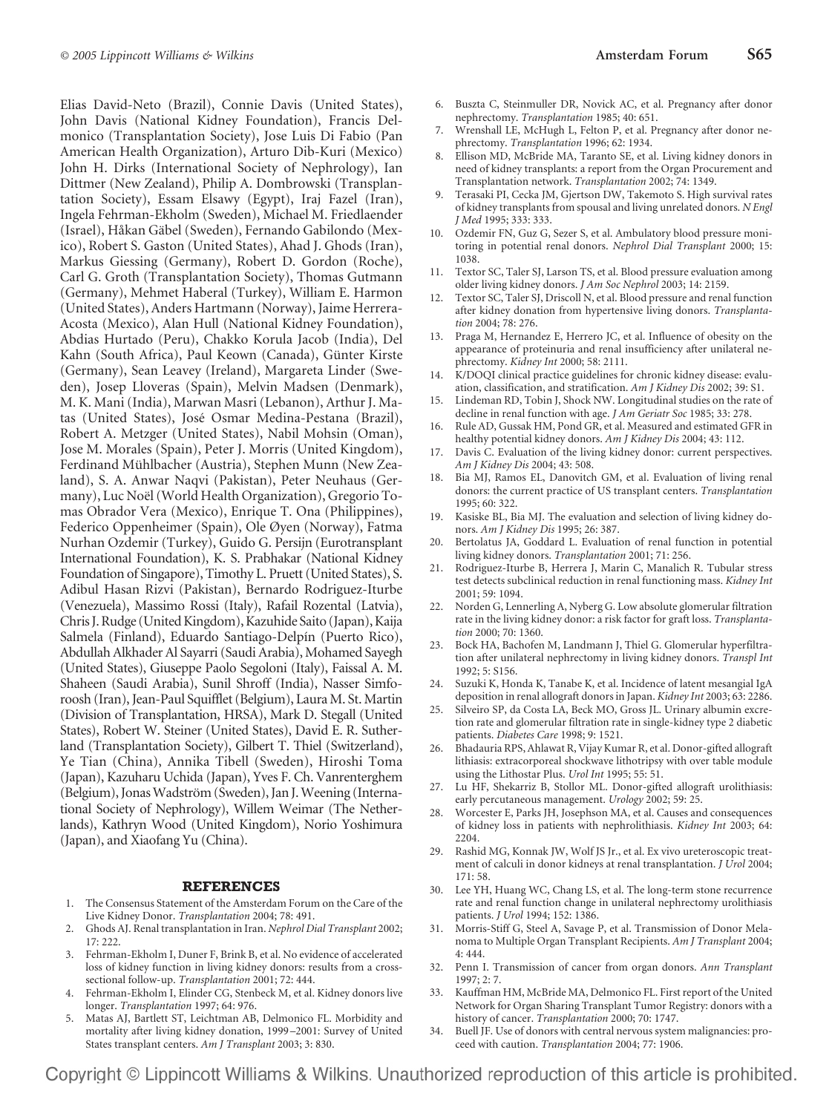Elias David-Neto (Brazil), Connie Davis (United States), John Davis (National Kidney Foundation), Francis Delmonico (Transplantation Society), Jose Luis Di Fabio (Pan American Health Organization), Arturo Dib-Kuri (Mexico) John H. Dirks (International Society of Nephrology), Ian Dittmer (New Zealand), Philip A. Dombrowski (Transplantation Society), Essam Elsawy (Egypt), Iraj Fazel (Iran), Ingela Fehrman-Ekholm (Sweden), Michael M. Friedlaender (Israel), Håkan Gäbel (Sweden), Fernando Gabilondo (Mexico), Robert S. Gaston (United States), Ahad J. Ghods (Iran), Markus Giessing (Germany), Robert D. Gordon (Roche), Carl G. Groth (Transplantation Society), Thomas Gutmann (Germany), Mehmet Haberal (Turkey), William E. Harmon (United States), Anders Hartmann (Norway), Jaime Herrera-Acosta (Mexico), Alan Hull (National Kidney Foundation), Abdias Hurtado (Peru), Chakko Korula Jacob (India), Del Kahn (South Africa), Paul Keown (Canada), Günter Kirste (Germany), Sean Leavey (Ireland), Margareta Linder (Sweden), Josep Lloveras (Spain), Melvin Madsen (Denmark), M. K. Mani (India), Marwan Masri (Lebanon), Arthur J. Matas (United States), Jose´ Osmar Medina-Pestana (Brazil), Robert A. Metzger (United States), Nabil Mohsin (Oman), Jose M. Morales (Spain), Peter J. Morris (United Kingdom), Ferdinand Mühlbacher (Austria), Stephen Munn (New Zealand), S. A. Anwar Naqvi (Pakistan), Peter Neuhaus (Germany), Luc Noël (World Health Organization), Gregorio Tomas Obrador Vera (Mexico), Enrique T. Ona (Philippines), Federico Oppenheimer (Spain), Ole Øyen (Norway), Fatma Nurhan Ozdemir (Turkey), Guido G. Persijn (Eurotransplant International Foundation), K. S. Prabhakar (National Kidney Foundation of Singapore), Timothy L. Pruett (United States), S. Adibul Hasan Rizvi (Pakistan), Bernardo Rodriguez-Iturbe (Venezuela), Massimo Rossi (Italy), Rafail Rozental (Latvia), Chris J. Rudge (United Kingdom), Kazuhide Saito (Japan), Kaija Salmela (Finland), Eduardo Santiago-Delpín (Puerto Rico), Abdullah Alkhader Al Sayarri (Saudi Arabia), Mohamed Sayegh (United States), Giuseppe Paolo Segoloni (Italy), Faissal A. M. Shaheen (Saudi Arabia), Sunil Shroff (India), Nasser Simforoosh (Iran), Jean-Paul Squifflet (Belgium), Laura M. St. Martin (Division of Transplantation, HRSA), Mark D. Stegall (United States), Robert W. Steiner (United States), David E. R. Sutherland (Transplantation Society), Gilbert T. Thiel (Switzerland), Ye Tian (China), Annika Tibell (Sweden), Hiroshi Toma (Japan), Kazuharu Uchida (Japan), Yves F. Ch. Vanrenterghem (Belgium), Jonas Wadström (Sweden), Jan J. Weening (International Society of Nephrology), Willem Weimar (The Netherlands), Kathryn Wood (United Kingdom), Norio Yoshimura (Japan), and Xiaofang Yu (China).

#### **REFERENCES**

- 1. The Consensus Statement of the Amsterdam Forum on the Care of the Live Kidney Donor. *Transplantation* 2004; 78: 491.
- 2. Ghods AJ. Renal transplantation in Iran. *Nephrol Dial Transplant* 2002; 17: 222.
- 3. Fehrman-Ekholm I, Duner F, Brink B, et al. No evidence of accelerated loss of kidney function in living kidney donors: results from a crosssectional follow-up. *Transplantation* 2001; 72: 444.
- 4. Fehrman-Ekholm I, Elinder CG, Stenbeck M, et al. Kidney donors live longer. *Transplantation* 1997; 64: 976.
- 5. Matas AJ, Bartlett ST, Leichtman AB, Delmonico FL. Morbidity and mortality after living kidney donation, 1999 –2001: Survey of United States transplant centers. *Am J Transplant* 2003; 3: 830.
- 6. Buszta C, Steinmuller DR, Novick AC, et al. Pregnancy after donor nephrectomy. *Transplantation* 1985; 40: 651.
- 7. Wrenshall LE, McHugh L, Felton P, et al. Pregnancy after donor nephrectomy. *Transplantation* 1996; 62: 1934.
- 8. Ellison MD, McBride MA, Taranto SE, et al. Living kidney donors in need of kidney transplants: a report from the Organ Procurement and Transplantation network. *Transplantation* 2002; 74: 1349.
- 9. Terasaki PI, Cecka JM, Gjertson DW, Takemoto S. High survival rates of kidney transplants from spousal and living unrelated donors. *N Engl J Med* 1995; 333: 333.
- 10. Ozdemir FN, Guz G, Sezer S, et al. Ambulatory blood pressure monitoring in potential renal donors. *Nephrol Dial Transplant* 2000; 15: 1038.
- 11. Textor SC, Taler SJ, Larson TS, et al. Blood pressure evaluation among older living kidney donors. *J Am Soc Nephrol* 2003; 14: 2159.
- 12. Textor SC, Taler SJ, Driscoll N, et al. Blood pressure and renal function after kidney donation from hypertensive living donors. *Transplantation* 2004; 78: 276.
- 13. Praga M, Hernandez E, Herrero JC, et al. Influence of obesity on the appearance of proteinuria and renal insufficiency after unilateral nephrectomy. *Kidney Int* 2000; 58: 2111.
- 14. K/DOQI clinical practice guidelines for chronic kidney disease: evaluation, classification, and stratification. *Am J Kidney Dis* 2002; 39: S1.
- 15. Lindeman RD, Tobin J, Shock NW. Longitudinal studies on the rate of decline in renal function with age. *J Am Geriatr Soc* 1985; 33: 278.
- 16. Rule AD, Gussak HM, Pond GR, et al. Measured and estimated GFR in healthy potential kidney donors. *Am J Kidney Dis* 2004; 43: 112.
- 17. Davis C. Evaluation of the living kidney donor: current perspectives. *Am J Kidney Dis* 2004; 43: 508.
- 18. Bia MJ, Ramos EL, Danovitch GM, et al. Evaluation of living renal donors: the current practice of US transplant centers. *Transplantation* 1995; 60: 322.
- 19. Kasiske BL, Bia MJ. The evaluation and selection of living kidney donors. *Am J Kidney Dis* 1995; 26: 387.
- 20. Bertolatus JA, Goddard L. Evaluation of renal function in potential living kidney donors. *Transplantation* 2001; 71: 256.
- 21. Rodriguez-Iturbe B, Herrera J, Marin C, Manalich R. Tubular stress test detects subclinical reduction in renal functioning mass. *Kidney Int* 2001; 59: 1094.
- 22. Norden G, Lennerling A, Nyberg G. Low absolute glomerular filtration rate in the living kidney donor: a risk factor for graft loss. *Transplantation* 2000; 70: 1360.
- 23. Bock HA, Bachofen M, Landmann J, Thiel G. Glomerular hyperfiltration after unilateral nephrectomy in living kidney donors. *Transpl Int* 1992; 5: S156.
- 24. Suzuki K, Honda K, Tanabe K, et al. Incidence of latent mesangial IgA deposition in renal allograft donors in Japan. *Kidney Int* 2003; 63: 2286.
- 25. Silveiro SP, da Costa LA, Beck MO, Gross JL. Urinary albumin excretion rate and glomerular filtration rate in single-kidney type 2 diabetic patients. *Diabetes Care* 1998; 9: 1521.
- 26. Bhadauria RPS, Ahlawat R, Vijay Kumar R, et al. Donor-gifted allograft lithiasis: extracorporeal shockwave lithotripsy with over table module using the Lithostar Plus. *Urol Int* 1995; 55: 51.
- 27. Lu HF, Shekarriz B, Stollor ML. Donor-gifted allograft urolithiasis: early percutaneous management. *Urology* 2002; 59: 25.
- 28. Worcester E, Parks JH, Josephson MA, et al. Causes and consequences of kidney loss in patients with nephrolithiasis. *Kidney Int* 2003; 64: 2204.
- 29. Rashid MG, Konnak JW, Wolf JS Jr., et al. Ex vivo ureteroscopic treatment of calculi in donor kidneys at renal transplantation. *J Urol* 2004; 171: 58.
- 30. Lee YH, Huang WC, Chang LS, et al. The long-term stone recurrence rate and renal function change in unilateral nephrectomy urolithiasis patients. *J Urol* 1994; 152: 1386.
- 31. Morris-Stiff G, Steel A, Savage P, et al. Transmission of Donor Melanoma to Multiple Organ Transplant Recipients. *Am J Transplant* 2004; 4: 444.
- 32. Penn I. Transmission of cancer from organ donors. *Ann Transplant* 1997; 2: 7.
- 33. Kauffman HM, McBride MA, Delmonico FL. First report of the United Network for Organ Sharing Transplant Tumor Registry: donors with a history of cancer. *Transplantation* 2000; 70: 1747.
- 34. Buell JF. Use of donors with central nervous system malignancies: proceed with caution. *Transplantation* 2004; 77: 1906.